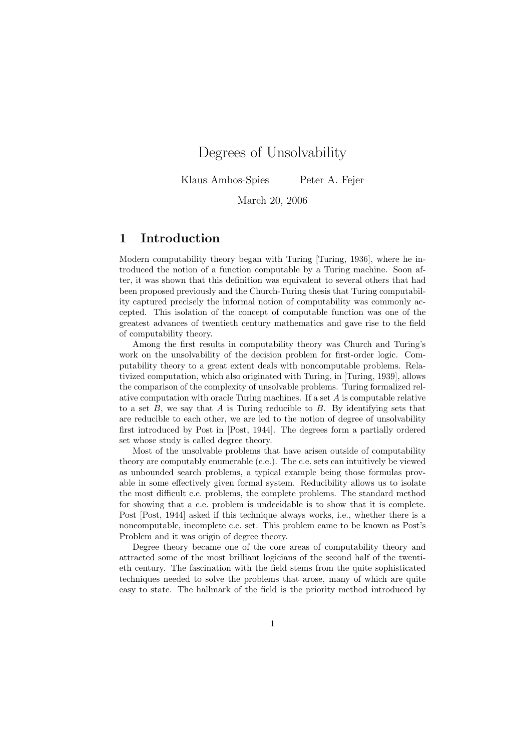Degrees of Unsolvability

Klaus Ambos-Spies Peter A. Fejer

March 20, 2006

### 1 Introduction

Modern computability theory began with Turing [Turing, 1936], where he introduced the notion of a function computable by a Turing machine. Soon after, it was shown that this definition was equivalent to several others that had been proposed previously and the Church-Turing thesis that Turing computability captured precisely the informal notion of computability was commonly accepted. This isolation of the concept of computable function was one of the greatest advances of twentieth century mathematics and gave rise to the field of computability theory.

Among the first results in computability theory was Church and Turing's work on the unsolvability of the decision problem for first-order logic. Computability theory to a great extent deals with noncomputable problems. Relativized computation, which also originated with Turing, in [Turing, 1939], allows the comparison of the complexity of unsolvable problems. Turing formalized relative computation with oracle Turing machines. If a set A is computable relative to a set  $B$ , we say that  $A$  is Turing reducible to  $B$ . By identifying sets that are reducible to each other, we are led to the notion of degree of unsolvability first introduced by Post in [Post, 1944]. The degrees form a partially ordered set whose study is called degree theory.

Most of the unsolvable problems that have arisen outside of computability theory are computably enumerable (c.e.). The c.e. sets can intuitively be viewed as unbounded search problems, a typical example being those formulas provable in some effectively given formal system. Reducibility allows us to isolate the most difficult c.e. problems, the complete problems. The standard method for showing that a c.e. problem is undecidable is to show that it is complete. Post [Post, 1944] asked if this technique always works, i.e., whether there is a noncomputable, incomplete c.e. set. This problem came to be known as Post's Problem and it was origin of degree theory.

Degree theory became one of the core areas of computability theory and attracted some of the most brilliant logicians of the second half of the twentieth century. The fascination with the field stems from the quite sophisticated techniques needed to solve the problems that arose, many of which are quite easy to state. The hallmark of the field is the priority method introduced by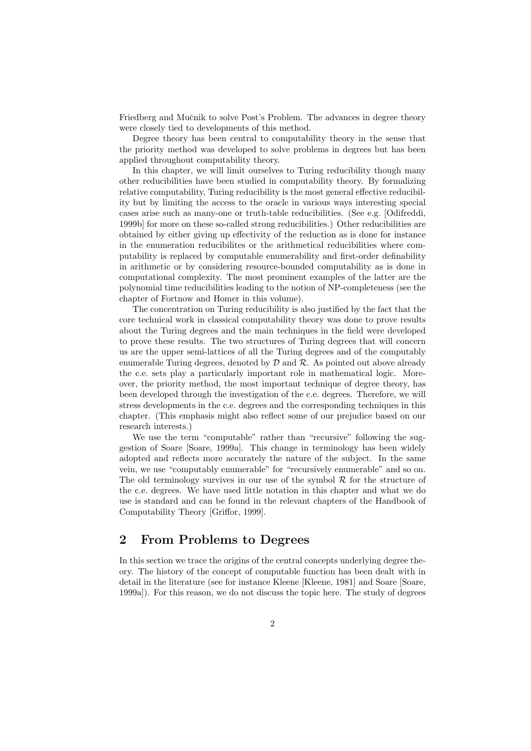Friedberg and Mučnik to solve Post's Problem. The advances in degree theory were closely tied to developments of this method.

Degree theory has been central to computability theory in the sense that the priority method was developed to solve problems in degrees but has been applied throughout computability theory.

In this chapter, we will limit ourselves to Turing reducibility though many other reducibilities have been studied in computability theory. By formalizing relative computability, Turing reducibility is the most general effective reducibility but by limiting the access to the oracle in various ways interesting special cases arise such as many-one or truth-table reducibilities. (See e.g. [Odifreddi, 1999b] for more on these so-called strong reducibilities.) Other reducibilities are obtained by either giving up effectivity of the reduction as is done for instance in the enumeration reducibilites or the arithmetical reducibilities where computability is replaced by computable enumerability and first-order definability in arithmetic or by considering resource-bounded computability as is done in computational complexity. The most prominent examples of the latter are the polynomial time reducibilities leading to the notion of NP-completeness (see the chapter of Fortnow and Homer in this volume).

The concentration on Turing reducibility is also justified by the fact that the core technical work in classical computability theory was done to prove results about the Turing degrees and the main techniques in the field were developed to prove these results. The two structures of Turing degrees that will concern us are the upper semi-lattices of all the Turing degrees and of the computably enumerable Turing degrees, denoted by  $\mathcal D$  and  $\mathcal R$ . As pointed out above already the c.e. sets play a particularly important role in mathematical logic. Moreover, the priority method, the most important technique of degree theory, has been developed through the investigation of the c.e. degrees. Therefore, we will stress developments in the c.e. degrees and the corresponding techniques in this chapter. (This emphasis might also reflect some of our prejudice based on our research interests.)

We use the term "computable" rather than "recursive" following the suggestion of Soare [Soare, 1999a]. This change in terminology has been widely adopted and reflects more accurately the nature of the subject. In the same vein, we use "computably enumerable" for "recursively enumerable" and so on. The old terminology survives in our use of the symbol  $\mathcal R$  for the structure of the c.e. degrees. We have used little notation in this chapter and what we do use is standard and can be found in the relevant chapters of the Handbook of Computability Theory [Griffor, 1999].

#### 2 From Problems to Degrees

In this section we trace the origins of the central concepts underlying degree theory. The history of the concept of computable function has been dealt with in detail in the literature (see for instance Kleene [Kleene, 1981] and Soare [Soare, 1999a]). For this reason, we do not discuss the topic here. The study of degrees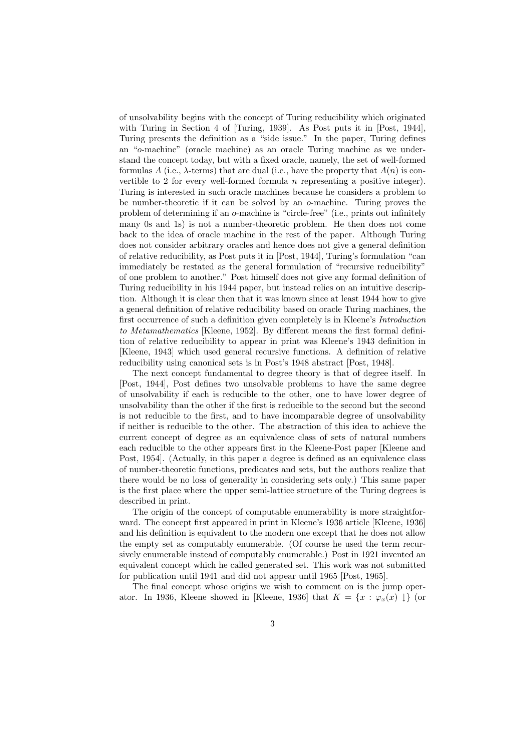of unsolvability begins with the concept of Turing reducibility which originated with Turing in Section 4 of [Turing, 1939]. As Post puts it in [Post, 1944], Turing presents the definition as a "side issue." In the paper, Turing defines an "o-machine" (oracle machine) as an oracle Turing machine as we understand the concept today, but with a fixed oracle, namely, the set of well-formed formulas A (i.e.,  $\lambda$ -terms) that are dual (i.e., have the property that  $A(n)$  is convertible to 2 for every well-formed formula  $n$  representing a positive integer). Turing is interested in such oracle machines because he considers a problem to be number-theoretic if it can be solved by an  $\sigma$ -machine. Turing proves the problem of determining if an o-machine is "circle-free" (i.e., prints out infinitely many 0s and 1s) is not a number-theoretic problem. He then does not come back to the idea of oracle machine in the rest of the paper. Although Turing does not consider arbitrary oracles and hence does not give a general definition of relative reducibility, as Post puts it in [Post, 1944], Turing's formulation "can immediately be restated as the general formulation of "recursive reducibility" of one problem to another." Post himself does not give any formal definition of Turing reducibility in his 1944 paper, but instead relies on an intuitive description. Although it is clear then that it was known since at least 1944 how to give a general definition of relative reducibility based on oracle Turing machines, the first occurrence of such a definition given completely is in Kleene's Introduction to Metamathematics [Kleene, 1952]. By different means the first formal definition of relative reducibility to appear in print was Kleene's 1943 definition in [Kleene, 1943] which used general recursive functions. A definition of relative reducibility using canonical sets is in Post's 1948 abstract [Post, 1948].

The next concept fundamental to degree theory is that of degree itself. In [Post, 1944], Post defines two unsolvable problems to have the same degree of unsolvability if each is reducible to the other, one to have lower degree of unsolvability than the other if the first is reducible to the second but the second is not reducible to the first, and to have incomparable degree of unsolvability if neither is reducible to the other. The abstraction of this idea to achieve the current concept of degree as an equivalence class of sets of natural numbers each reducible to the other appears first in the Kleene-Post paper [Kleene and Post, 1954]. (Actually, in this paper a degree is defined as an equivalence class of number-theoretic functions, predicates and sets, but the authors realize that there would be no loss of generality in considering sets only.) This same paper is the first place where the upper semi-lattice structure of the Turing degrees is described in print.

The origin of the concept of computable enumerability is more straightforward. The concept first appeared in print in Kleene's 1936 article [Kleene, 1936] and his definition is equivalent to the modern one except that he does not allow the empty set as computably enumerable. (Of course he used the term recursively enumerable instead of computably enumerable.) Post in 1921 invented an equivalent concept which he called generated set. This work was not submitted for publication until 1941 and did not appear until 1965 [Post, 1965].

The final concept whose origins we wish to comment on is the jump operator. In 1936, Kleene showed in [Kleene, 1936] that  $K = \{x : \varphi_x(x) \downarrow\}$  (or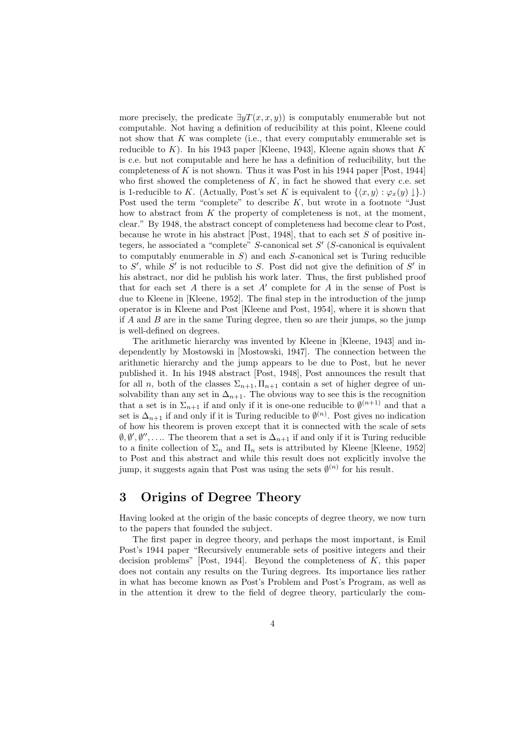more precisely, the predicate  $\exists y T(x, x, y)$  is computably enumerable but not computable. Not having a definition of reducibility at this point, Kleene could not show that  $K$  was complete (i.e., that every computably enumerable set is reducible to  $K$ ). In his 1943 paper [Kleene, 1943], Kleene again shows that  $K$ is c.e. but not computable and here he has a definition of reducibility, but the completeness of  $K$  is not shown. Thus it was Post in his 1944 paper [Post, 1944] who first showed the completeness of  $K$ , in fact he showed that every c.e. set is 1-reducible to K. (Actually, Post's set K is equivalent to  $\{\langle x, y \rangle : \varphi_x(y) \downarrow \}$ .) Post used the term "complete" to describe K, but wrote in a footnote "Just how to abstract from  $K$  the property of completeness is not, at the moment, clear." By 1948, the abstract concept of completeness had become clear to Post, because he wrote in his abstract  $[Post, 1948]$ , that to each set S of positive integers, he associated a "complete"  $S$ -canonical set  $S'$  ( $S$ -canonical is equivalent to computably enumerable in  $S$ ) and each  $S$ -canonical set is Turing reducible to  $S'$ , while  $S'$  is not reducible to  $S$ . Post did not give the definition of  $S'$  in his abstract, nor did he publish his work later. Thus, the first published proof that for each set  $A$  there is a set  $A'$  complete for  $A$  in the sense of Post is due to Kleene in [Kleene, 1952]. The final step in the introduction of the jump operator is in Kleene and Post [Kleene and Post, 1954], where it is shown that if  $A$  and  $B$  are in the same Turing degree, then so are their jumps, so the jump is well-defined on degrees.

The arithmetic hierarchy was invented by Kleene in [Kleene, 1943] and independently by Mostowski in [Mostowski, 1947]. The connection between the arithmetic hierarchy and the jump appears to be due to Post, but he never published it. In his 1948 abstract [Post, 1948], Post announces the result that for all n, both of the classes  $\Sigma_{n+1}, \Pi_{n+1}$  contain a set of higher degree of unsolvability than any set in  $\Delta_{n+1}$ . The obvious way to see this is the recognition that a set is in  $\Sigma_{n+1}$  if and only if it is one-one reducible to  $\emptyset^{(n+1)}$  and that a set is  $\Delta_{n+1}$  if and only if it is Turing reducible to  $\emptyset^{(n)}$ . Post gives no indication of how his theorem is proven except that it is connected with the scale of sets  $\emptyset, \emptyset', \emptyset'', \ldots$  The theorem that a set is  $\Delta_{n+1}$  if and only if it is Turing reducible to a finite collection of  $\Sigma_n$  and  $\Pi_n$  sets is attributed by Kleene [Kleene, 1952] to Post and this abstract and while this result does not explicitly involve the jump, it suggests again that Post was using the sets  $\emptyset^{(n)}$  for his result.

### 3 Origins of Degree Theory

Having looked at the origin of the basic concepts of degree theory, we now turn to the papers that founded the subject.

The first paper in degree theory, and perhaps the most important, is Emil Post's 1944 paper "Recursively enumerable sets of positive integers and their decision problems" [Post, 1944]. Beyond the completeness of  $K$ , this paper does not contain any results on the Turing degrees. Its importance lies rather in what has become known as Post's Problem and Post's Program, as well as in the attention it drew to the field of degree theory, particularly the com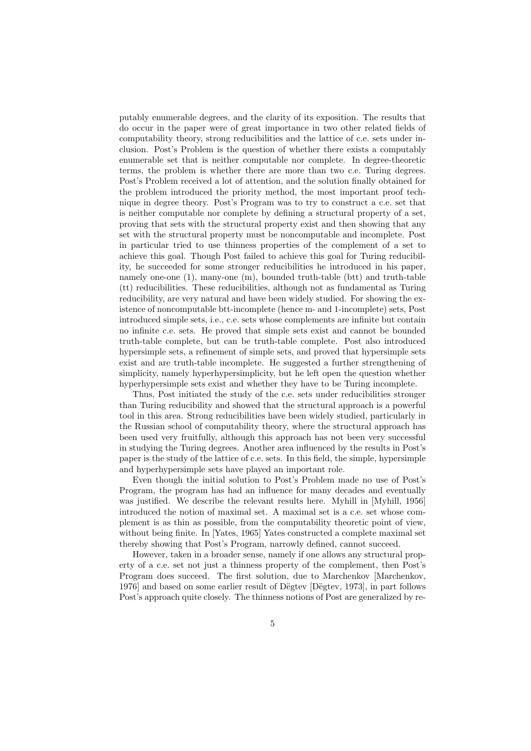putably enumerable degrees, and the clarity of its exposition. The results that do occur in the paper were of great importance in two other related fields of computability theory, strong reducibilities and the lattice of c.e. sets under inclusion. Post's Problem is the question of whether there exists a computably enumerable set that is neither computable nor complete. In degree-theoretic terms, the problem is whether there are more than two c.e. Turing degrees. Post's Problem received a lot of attention, and the solution finally obtained for the problem introduced the priority method, the most important proof technique in degree theory. Post's Program was to try to construct a c.e. set that is neither computable nor complete by defining a structural property of a set, proving that sets with the structural property exist and then showing that any set with the structural property must be noncomputable and incomplete. Post in particular tried to use thinness properties of the complement of a set to achieve this goal. Though Post failed to achieve this goal for Turing reducibility, he succeeded for some stronger reducibilities he introduced in his paper, namely one-one (1), many-one (m), bounded truth-table (btt) and truth-table (tt) reducibilities. These reducibilities, although not as fundamental as Turing reducibility, are very natural and have been widely studied. For showing the existence of noncomputable btt-incomplete (hence m- and 1-incomplete) sets, Post introduced simple sets, i.e., c.e. sets whose complements are infinite but contain no infinite c.e. sets. He proved that simple sets exist and cannot be bounded truth-table complete, but can be truth-table complete. Post also introduced hypersimple sets, a refinement of simple sets, and proved that hypersimple sets exist and are truth-table incomplete. He suggested a further strengthening of simplicity, namely hyperhypersimplicity, but he left open the question whether hyperhypersimple sets exist and whether they have to be Turing incomplete.

Thus, Post initiated the study of the c.e. sets under reducibilities stronger than Turing reducibility and showed that the structural approach is a powerful tool in this area. Strong reducibilities have been widely studied, particularly in the Russian school of computability theory, where the structural approach has been used very fruitfully, although this approach has not been very successful in studying the Turing degrees. Another area influenced by the results in Post's paper is the study of the lattice of c.e. sets. In this field, the simple, hypersimple and hyperhypersimple sets have played an important role.

Even though the initial solution to Post's Problem made no use of Post's Program, the program has had an influence for many decades and eventually was justified. We describe the relevant results here. Myhill in [Myhill, 1956] introduced the notion of maximal set. A maximal set is a c.e. set whose complement is as thin as possible, from the computability theoretic point of view, without being finite. In [Yates, 1965] Yates constructed a complete maximal set thereby showing that Post's Program, narrowly defined, cannot succeed.

However, taken in a broader sense, namely if one allows any structural property of a c.e. set not just a thinness property of the complement, then Post's Program does succeed. The first solution, due to Marchenkov [Marchenkov, 1976] and based on some earlier result of Dëgtev [Dëgtev, 1973], in part follows Post's approach quite closely. The thinness notions of Post are generalized by re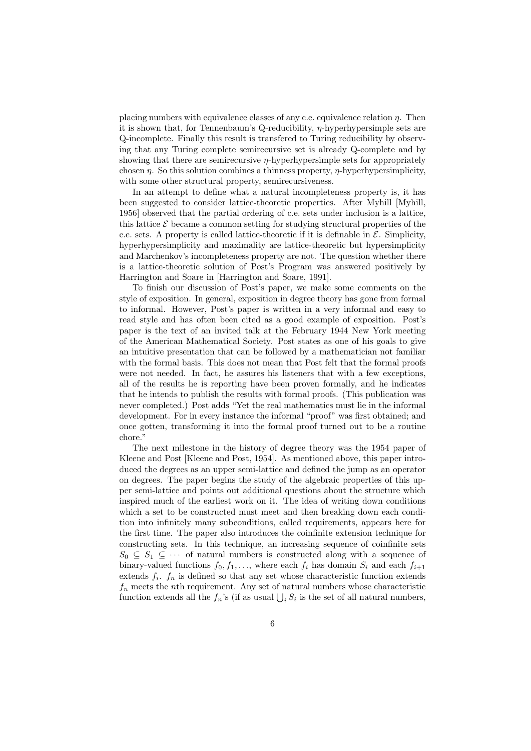placing numbers with equivalence classes of any c.e. equivalence relation  $\eta$ . Then it is shown that, for Tennenbaum's Q-reducibility, η-hyperhypersimple sets are Q-incomplete. Finally this result is transfered to Turing reducibility by observing that any Turing complete semirecursive set is already Q-complete and by showing that there are semirecursive  $\eta$ -hyperhypersimple sets for appropriately chosen  $\eta$ . So this solution combines a thinness property,  $\eta$ -hyperhypersimplicity, with some other structural property, semirecursiveness.

In an attempt to define what a natural incompleteness property is, it has been suggested to consider lattice-theoretic properties. After Myhill [Myhill, 1956] observed that the partial ordering of c.e. sets under inclusion is a lattice, this lattice  $\mathcal E$  became a common setting for studying structural properties of the c.e. sets. A property is called lattice-theoretic if it is definable in  $\mathcal{E}$ . Simplicity, hyperhypersimplicity and maximality are lattice-theoretic but hypersimplicity and Marchenkov's incompleteness property are not. The question whether there is a lattice-theoretic solution of Post's Program was answered positively by Harrington and Soare in [Harrington and Soare, 1991].

To finish our discussion of Post's paper, we make some comments on the style of exposition. In general, exposition in degree theory has gone from formal to informal. However, Post's paper is written in a very informal and easy to read style and has often been cited as a good example of exposition. Post's paper is the text of an invited talk at the February 1944 New York meeting of the American Mathematical Society. Post states as one of his goals to give an intuitive presentation that can be followed by a mathematician not familiar with the formal basis. This does not mean that Post felt that the formal proofs were not needed. In fact, he assures his listeners that with a few exceptions, all of the results he is reporting have been proven formally, and he indicates that he intends to publish the results with formal proofs. (This publication was never completed.) Post adds "Yet the real mathematics must lie in the informal development. For in every instance the informal "proof" was first obtained; and once gotten, transforming it into the formal proof turned out to be a routine chore."

The next milestone in the history of degree theory was the 1954 paper of Kleene and Post [Kleene and Post, 1954]. As mentioned above, this paper introduced the degrees as an upper semi-lattice and defined the jump as an operator on degrees. The paper begins the study of the algebraic properties of this upper semi-lattice and points out additional questions about the structure which inspired much of the earliest work on it. The idea of writing down conditions which a set to be constructed must meet and then breaking down each condition into infinitely many subconditions, called requirements, appears here for the first time. The paper also introduces the coinfinite extension technique for constructing sets. In this technique, an increasing sequence of coinfinite sets  $S_0 \subseteq S_1 \subseteq \cdots$  of natural numbers is constructed along with a sequence of binary-valued functions  $f_0, f_1, \ldots$ , where each  $f_i$  has domain  $S_i$  and each  $f_{i+1}$ extends  $f_i$ .  $f_n$  is defined so that any set whose characteristic function extends  $f_n$  meets the *n*th requirement. Any set of natural numbers whose characteristic function extends all the  $f_n$ 's (if as usual  $\bigcup_i S_i$  is the set of all natural numbers,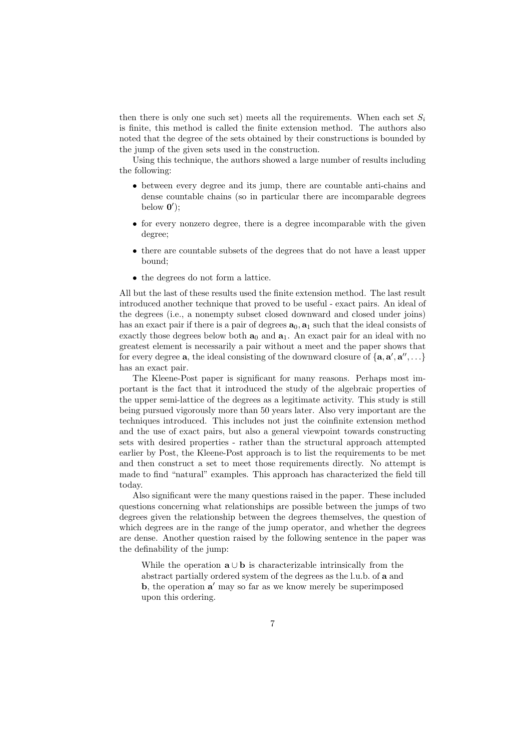then there is only one such set) meets all the requirements. When each set  $S_i$ is finite, this method is called the finite extension method. The authors also noted that the degree of the sets obtained by their constructions is bounded by the jump of the given sets used in the construction.

Using this technique, the authors showed a large number of results including the following:

- between every degree and its jump, there are countable anti-chains and dense countable chains (so in particular there are incomparable degrees below  $0$ <sup>'</sup>);
- for every nonzero degree, there is a degree incomparable with the given degree;
- there are countable subsets of the degrees that do not have a least upper bound;
- the degrees do not form a lattice.

All but the last of these results used the finite extension method. The last result introduced another technique that proved to be useful - exact pairs. An ideal of the degrees (i.e., a nonempty subset closed downward and closed under joins) has an exact pair if there is a pair of degrees  $a_0, a_1$  such that the ideal consists of exactly those degrees below both  $a_0$  and  $a_1$ . An exact pair for an ideal with no greatest element is necessarily a pair without a meet and the paper shows that for every degree **a**, the ideal consisting of the downward closure of  $\{a, a', a'', \ldots\}$ has an exact pair.

The Kleene-Post paper is significant for many reasons. Perhaps most important is the fact that it introduced the study of the algebraic properties of the upper semi-lattice of the degrees as a legitimate activity. This study is still being pursued vigorously more than 50 years later. Also very important are the techniques introduced. This includes not just the coinfinite extension method and the use of exact pairs, but also a general viewpoint towards constructing sets with desired properties - rather than the structural approach attempted earlier by Post, the Kleene-Post approach is to list the requirements to be met and then construct a set to meet those requirements directly. No attempt is made to find "natural" examples. This approach has characterized the field till today.

Also significant were the many questions raised in the paper. These included questions concerning what relationships are possible between the jumps of two degrees given the relationship between the degrees themselves, the question of which degrees are in the range of the jump operator, and whether the degrees are dense. Another question raised by the following sentence in the paper was the definability of the jump:

While the operation  $\mathbf{a} \cup \mathbf{b}$  is characterizable intrinsically from the abstract partially ordered system of the degrees as the l.u.b. of a and b, the operation  $a'$  may so far as we know merely be superimposed upon this ordering.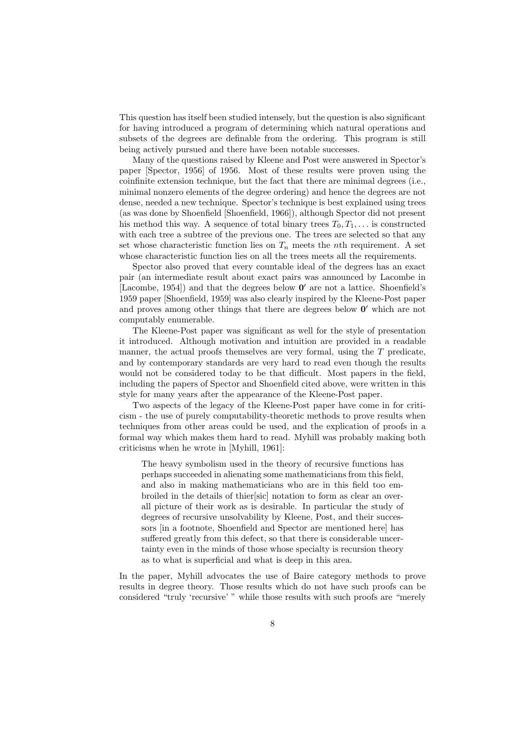This question has itself been studied intensely, but the question is also significant for having introduced a program of determining which natural operations and subsets of the degrees are definable from the ordering. This program is still being actively pursued and there have been notable successes.

Many of the questions raised by Kleene and Post were answered in Spector's paper [Spector, 1956] of 1956. Most of these results were proven using the coinfinite extension technique, but the fact that there are minimal degrees (i.e., minimal nonzero elements of the degree ordering) and hence the degrees are not dense, needed a new technique. Spector's technique is best explained using trees (as was done by Shoenfield [Shoenfield, 1966]), although Spector did not present his method this way. A sequence of total binary trees  $T_0, T_1, \ldots$  is constructed with each tree a subtree of the previous one. The trees are selected so that any set whose characteristic function lies on  $T_n$  meets the nth requirement. A set whose characteristic function lies on all the trees meets all the requirements.

Spector also proved that every countable ideal of the degrees has an exact pair (an intermediate result about exact pairs was announced by Lacombe in [Lacombe, 1954]) and that the degrees below  $0'$  are not a lattice. Shoenfield's 1959 paper [Shoenfield, 1959] was also clearly inspired by the Kleene-Post paper and proves among other things that there are degrees below  $0'$  which are not computably enumerable.

The Kleene-Post paper was significant as well for the style of presentation it introduced. Although motivation and intuition are provided in a readable manner, the actual proofs themselves are very formal, using the  $T$  predicate, and by contemporary standards are very hard to read even though the results would not be considered today to be that difficult. Most papers in the field, including the papers of Spector and Shoenfield cited above, were written in this style for many years after the appearance of the Kleene-Post paper.

Two aspects of the legacy of the Kleene-Post paper have come in for criticism - the use of purely computability-theoretic methods to prove results when techniques from other areas could be used, and the explication of proofs in a formal way which makes them hard to read. Myhill was probably making both criticisms when he wrote in [Myhill, 1961]:

The heavy symbolism used in the theory of recursive functions has perhaps succeeded in alienating some mathematicians from this field, and also in making mathematicians who are in this field too embroiled in the details of thier[sic] notation to form as clear an overall picture of their work as is desirable. In particular the study of degrees of recursive unsolvability by Kleene, Post, and their successors [in a footnote, Shoenfield and Spector are mentioned here] has suffered greatly from this defect, so that there is considerable uncertainty even in the minds of those whose specialty is recursion theory as to what is superficial and what is deep in this area.

In the paper, Myhill advocates the use of Baire category methods to prove results in degree theory. Those results which do not have such proofs can be considered "truly 'recursive' " while those results with such proofs are "merely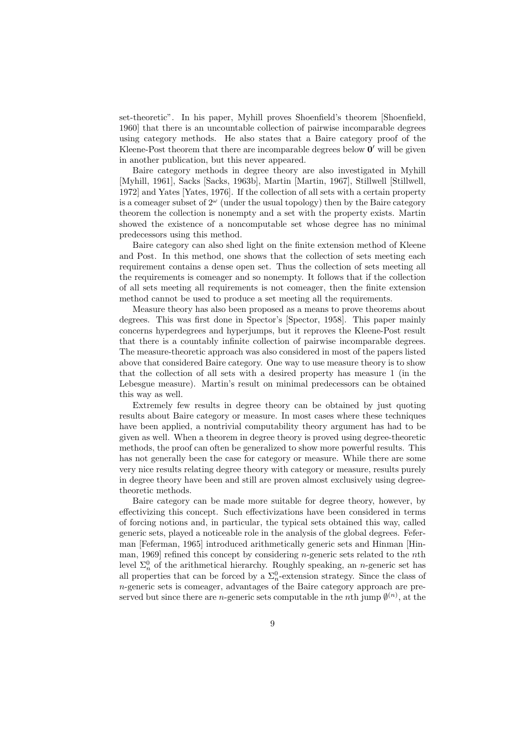set-theoretic". In his paper, Myhill proves Shoenfield's theorem [Shoenfield, 1960] that there is an uncountable collection of pairwise incomparable degrees using category methods. He also states that a Baire category proof of the Kleene-Post theorem that there are incomparable degrees below  $0'$  will be given in another publication, but this never appeared.

Baire category methods in degree theory are also investigated in Myhill [Myhill, 1961], Sacks [Sacks, 1963b], Martin [Martin, 1967], Stillwell [Stillwell, 1972] and Yates [Yates, 1976]. If the collection of all sets with a certain property is a comeager subset of  $2^{\omega}$  (under the usual topology) then by the Baire category theorem the collection is nonempty and a set with the property exists. Martin showed the existence of a noncomputable set whose degree has no minimal predecessors using this method.

Baire category can also shed light on the finite extension method of Kleene and Post. In this method, one shows that the collection of sets meeting each requirement contains a dense open set. Thus the collection of sets meeting all the requirements is comeager and so nonempty. It follows that if the collection of all sets meeting all requirements is not comeager, then the finite extension method cannot be used to produce a set meeting all the requirements.

Measure theory has also been proposed as a means to prove theorems about degrees. This was first done in Spector's [Spector, 1958]. This paper mainly concerns hyperdegrees and hyperjumps, but it reproves the Kleene-Post result that there is a countably infinite collection of pairwise incomparable degrees. The measure-theoretic approach was also considered in most of the papers listed above that considered Baire category. One way to use measure theory is to show that the collection of all sets with a desired property has measure 1 (in the Lebesgue measure). Martin's result on minimal predecessors can be obtained this way as well.

Extremely few results in degree theory can be obtained by just quoting results about Baire category or measure. In most cases where these techniques have been applied, a nontrivial computability theory argument has had to be given as well. When a theorem in degree theory is proved using degree-theoretic methods, the proof can often be generalized to show more powerful results. This has not generally been the case for category or measure. While there are some very nice results relating degree theory with category or measure, results purely in degree theory have been and still are proven almost exclusively using degreetheoretic methods.

Baire category can be made more suitable for degree theory, however, by effectivizing this concept. Such effectivizations have been considered in terms of forcing notions and, in particular, the typical sets obtained this way, called generic sets, played a noticeable role in the analysis of the global degrees. Feferman [Feferman, 1965] introduced arithmetically generic sets and Hinman [Hinman, 1969] refined this concept by considering n-generic sets related to the nth level  $\Sigma_n^0$  of the arithmetical hierarchy. Roughly speaking, an *n*-generic set has all properties that can be forced by a  $\Sigma_n^0$ -extension strategy. Since the class of n-generic sets is comeager, advantages of the Baire category approach are preserved but since there are *n*-generic sets computable in the *n*th jump  $\emptyset^{(n)}$ , at the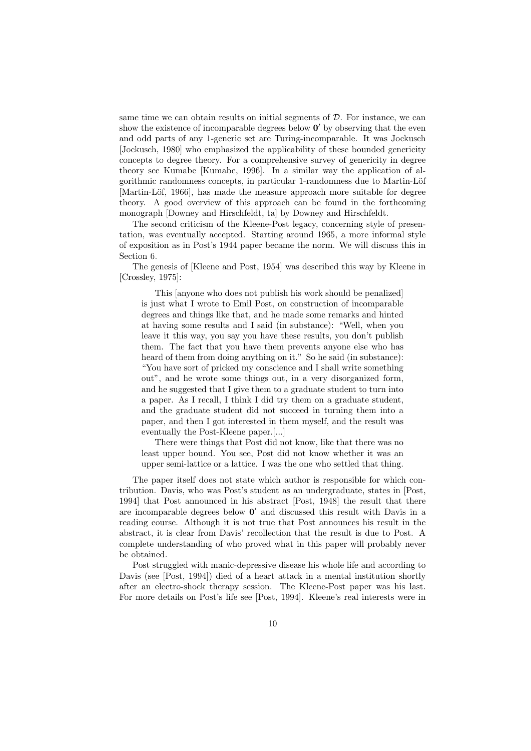same time we can obtain results on initial segments of  $D$ . For instance, we can show the existence of incomparable degrees below  $\mathbf{0}'$  by observing that the even and odd parts of any 1-generic set are Turing-incomparable. It was Jockusch [Jockusch, 1980] who emphasized the applicability of these bounded genericity concepts to degree theory. For a comprehensive survey of genericity in degree theory see Kumabe [Kumabe, 1996]. In a similar way the application of algorithmic randomness concepts, in particular 1-randomness due to Martin-Löf [Martin-Löf, 1966], has made the measure approach more suitable for degree theory. A good overview of this approach can be found in the forthcoming monograph [Downey and Hirschfeldt, ta] by Downey and Hirschfeldt.

The second criticism of the Kleene-Post legacy, concerning style of presentation, was eventually accepted. Starting around 1965, a more informal style of exposition as in Post's 1944 paper became the norm. We will discuss this in Section 6.

The genesis of [Kleene and Post, 1954] was described this way by Kleene in [Crossley, 1975]:

This [anyone who does not publish his work should be penalized] is just what I wrote to Emil Post, on construction of incomparable degrees and things like that, and he made some remarks and hinted at having some results and I said (in substance): "Well, when you leave it this way, you say you have these results, you don't publish them. The fact that you have them prevents anyone else who has heard of them from doing anything on it." So he said (in substance): "You have sort of pricked my conscience and I shall write something out", and he wrote some things out, in a very disorganized form, and he suggested that I give them to a graduate student to turn into a paper. As I recall, I think I did try them on a graduate student, and the graduate student did not succeed in turning them into a paper, and then I got interested in them myself, and the result was eventually the Post-Kleene paper.[...]

There were things that Post did not know, like that there was no least upper bound. You see, Post did not know whether it was an upper semi-lattice or a lattice. I was the one who settled that thing.

The paper itself does not state which author is responsible for which contribution. Davis, who was Post's student as an undergraduate, states in [Post, 1994] that Post announced in his abstract [Post, 1948] the result that there are incomparable degrees below  $0'$  and discussed this result with Davis in a reading course. Although it is not true that Post announces his result in the abstract, it is clear from Davis' recollection that the result is due to Post. A complete understanding of who proved what in this paper will probably never be obtained.

Post struggled with manic-depressive disease his whole life and according to Davis (see [Post, 1994]) died of a heart attack in a mental institution shortly after an electro-shock therapy session. The Kleene-Post paper was his last. For more details on Post's life see [Post, 1994]. Kleene's real interests were in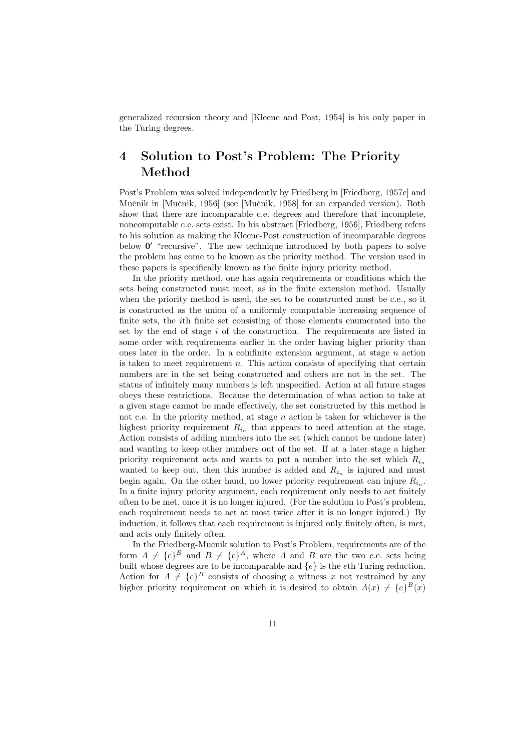generalized recursion theory and [Kleene and Post, 1954] is his only paper in the Turing degrees.

# 4 Solution to Post's Problem: The Priority Method

Post's Problem was solved independently by Friedberg in [Friedberg, 1957c] and Mučnik in [Mučnik, 1956] (see [Mučnik, 1958] for an expanded version). Both show that there are incomparable c.e. degrees and therefore that incomplete, noncomputable c.e. sets exist. In his abstract [Friedberg, 1956], Friedberg refers to his solution as making the Kleene-Post construction of incomparable degrees below  $0'$  "recursive". The new technique introduced by both papers to solve the problem has come to be known as the priority method. The version used in these papers is specifically known as the finite injury priority method.

In the priority method, one has again requirements or conditions which the sets being constructed must meet, as in the finite extension method. Usually when the priority method is used, the set to be constructed must be c.e., so it is constructed as the union of a uniformly computable increasing sequence of finite sets, the ith finite set consisting of those elements enumerated into the set by the end of stage  $i$  of the construction. The requirements are listed in some order with requirements earlier in the order having higher priority than ones later in the order. In a coinfinite extension argument, at stage  $n$  action is taken to meet requirement  $n$ . This action consists of specifying that certain numbers are in the set being constructed and others are not in the set. The status of infinitely many numbers is left unspecified. Action at all future stages obeys these restrictions. Because the determination of what action to take at a given stage cannot be made effectively, the set constructed by this method is not c.e. In the priority method, at stage  $n$  action is taken for whichever is the highest priority requirement  $R_{i_n}$  that appears to need attention at the stage. Action consists of adding numbers into the set (which cannot be undone later) and wanting to keep other numbers out of the set. If at a later stage a higher priority requirement acts and wants to put a number into the set which  $R_{i_n}$ wanted to keep out, then this number is added and  $R_{i_n}$  is injured and must begin again. On the other hand, no lower priority requirement can injure  $R_{i_n}$ . In a finite injury priority argument, each requirement only needs to act finitely often to be met, once it is no longer injured. (For the solution to Post's problem, each requirement needs to act at most twice after it is no longer injured.) By induction, it follows that each requirement is injured only finitely often, is met, and acts only finitely often.

In the Friedberg-Mučnik solution to Post's Problem, requirements are of the form  $A \neq \{e\}^B$  and  $B \neq \{e\}^A$ , where A and B are the two c.e. sets being built whose degrees are to be incomparable and  $\{e\}$  is the  $e$ th Turing reduction. Action for  $A \neq \{e\}^B$  consists of choosing a witness x not restrained by any higher priority requirement on which it is desired to obtain  $A(x) \neq \{e\}^B(x)$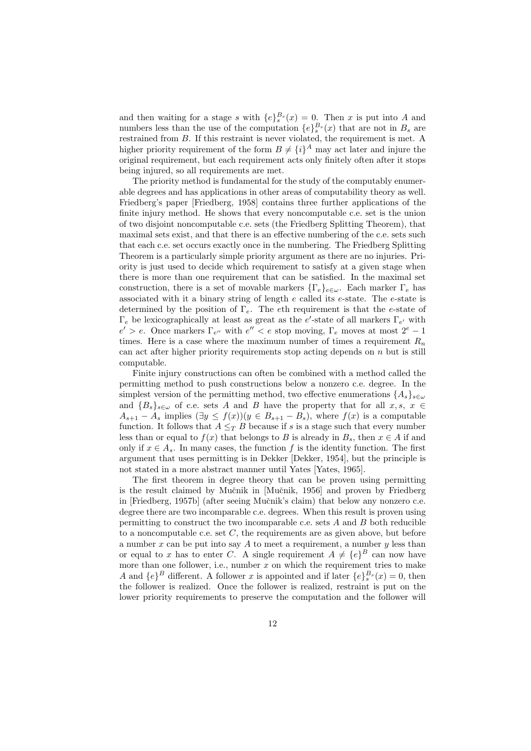and then waiting for a stage s with  ${e}_{s}^{B_s}(x) = 0$ . Then x is put into A and numbers less than the use of the computation  ${e}_{s}^{B_s}(x)$  that are not in  $B_s$  are restrained from B. If this restraint is never violated, the requirement is met. A higher priority requirement of the form  $B \neq \{i\}^A$  may act later and injure the original requirement, but each requirement acts only finitely often after it stops being injured, so all requirements are met.

The priority method is fundamental for the study of the computably enumerable degrees and has applications in other areas of computability theory as well. Friedberg's paper [Friedberg, 1958] contains three further applications of the finite injury method. He shows that every noncomputable c.e. set is the union of two disjoint noncomputable c.e. sets (the Friedberg Splitting Theorem), that maximal sets exist, and that there is an effective numbering of the c.e. sets such that each c.e. set occurs exactly once in the numbering. The Friedberg Splitting Theorem is a particularly simple priority argument as there are no injuries. Priority is just used to decide which requirement to satisfy at a given stage when there is more than one requirement that can be satisfied. In the maximal set construction, there is a set of movable markers  $\{\Gamma_e\}_{e \in \omega}$ . Each marker  $\Gamma_e$  has associated with it a binary string of length e called its e-state. The e-state is determined by the position of  $\Gamma_e$ . The eth requirement is that the e-state of  $\Gamma_e$  be lexicographically at least as great as the e'-state of all markers  $\Gamma_{e'}$  with  $e' > e$ . Once markers  $\Gamma_{e''}$  with  $e'' < e$  stop moving,  $\Gamma_e$  moves at most  $2^e - 1$ times. Here is a case where the maximum number of times a requirement  $R_n$ can act after higher priority requirements stop acting depends on  $n$  but is still computable.

Finite injury constructions can often be combined with a method called the permitting method to push constructions below a nonzero c.e. degree. In the simplest version of the permitting method, two effective enumerations  $\{A_s\}_{s\in\omega}$ and  ${B_s}_{s\in\omega}$  of c.e. sets A and B have the property that for all  $x, s, x \in$  $A_{s+1} - A_s$  implies  $(\exists y \le f(x))(y \in B_{s+1} - B_s)$ , where  $f(x)$  is a computable function. It follows that  $A \leq_T B$  because if s is a stage such that every number less than or equal to  $f(x)$  that belongs to B is already in  $B_s$ , then  $x \in A$  if and only if  $x \in A_s$ . In many cases, the function f is the identity function. The first argument that uses permitting is in Dekker [Dekker, 1954], but the principle is not stated in a more abstract manner until Yates [Yates, 1965].

The first theorem in degree theory that can be proven using permitting is the result claimed by Mučnik in [Mučnik, 1956] and proven by Friedberg in [Friedberg, 1957b] (after seeing Mučnik's claim) that below any nonzero c.e. degree there are two incomparable c.e. degrees. When this result is proven using permitting to construct the two incomparable c.e. sets  $A$  and  $B$  both reducible to a noncomputable c.e. set  $C$ , the requirements are as given above, but before a number  $x$  can be put into say  $A$  to meet a requirement, a number  $y$  less than or equal to x has to enter C. A single requirement  $A \neq \{e\}^B$  can now have more than one follower, i.e., number  $x$  on which the requirement tries to make A and  $\{e\}^B$  different. A follower x is appointed and if later  $\{e\}^{B_s}(x) = 0$ , then the follower is realized. Once the follower is realized, restraint is put on the lower priority requirements to preserve the computation and the follower will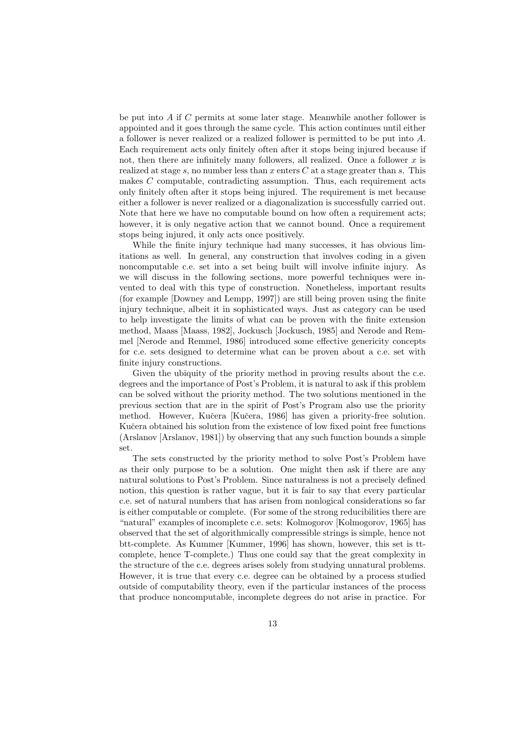be put into A if C permits at some later stage. Meanwhile another follower is appointed and it goes through the same cycle. This action continues until either a follower is never realized or a realized follower is permitted to be put into A. Each requirement acts only finitely often after it stops being injured because if not, then there are infinitely many followers, all realized. Once a follower  $x$  is realized at stage  $s$ , no number less than  $x$  enters  $C$  at a stage greater than  $s$ . This makes C computable, contradicting assumption. Thus, each requirement acts only finitely often after it stops being injured. The requirement is met because either a follower is never realized or a diagonalization is successfully carried out. Note that here we have no computable bound on how often a requirement acts; however, it is only negative action that we cannot bound. Once a requirement stops being injured, it only acts once positively.

While the finite injury technique had many successes, it has obvious limitations as well. In general, any construction that involves coding in a given noncomputable c.e. set into a set being built will involve infinite injury. As we will discuss in the following sections, more powerful techniques were invented to deal with this type of construction. Nonetheless, important results (for example [Downey and Lempp, 1997]) are still being proven using the finite injury technique, albeit it in sophisticated ways. Just as category can be used to help investigate the limits of what can be proven with the finite extension method, Maass [Maass, 1982], Jockusch [Jockusch, 1985] and Nerode and Remmel [Nerode and Remmel, 1986] introduced some effective genericity concepts for c.e. sets designed to determine what can be proven about a c.e. set with finite injury constructions.

Given the ubiquity of the priority method in proving results about the c.e. degrees and the importance of Post's Problem, it is natural to ask if this problem can be solved without the priority method. The two solutions mentioned in the previous section that are in the spirit of Post's Program also use the priority method. However, Kučera [Kučera, 1986] has given a priority-free solution. Kučera obtained his solution from the existence of low fixed point free functions (Arslanov [Arslanov, 1981]) by observing that any such function bounds a simple set.

The sets constructed by the priority method to solve Post's Problem have as their only purpose to be a solution. One might then ask if there are any natural solutions to Post's Problem. Since naturalness is not a precisely defined notion, this question is rather vague, but it is fair to say that every particular c.e. set of natural numbers that has arisen from nonlogical considerations so far is either computable or complete. (For some of the strong reducibilities there are "natural" examples of incomplete c.e. sets: Kolmogorov [Kolmogorov, 1965] has observed that the set of algorithmically compressible strings is simple, hence not btt-complete. As Kummer [Kummer, 1996] has shown, however, this set is ttcomplete, hence T-complete.) Thus one could say that the great complexity in the structure of the c.e. degrees arises solely from studying unnatural problems. However, it is true that every c.e. degree can be obtained by a process studied outside of computability theory, even if the particular instances of the process that produce noncomputable, incomplete degrees do not arise in practice. For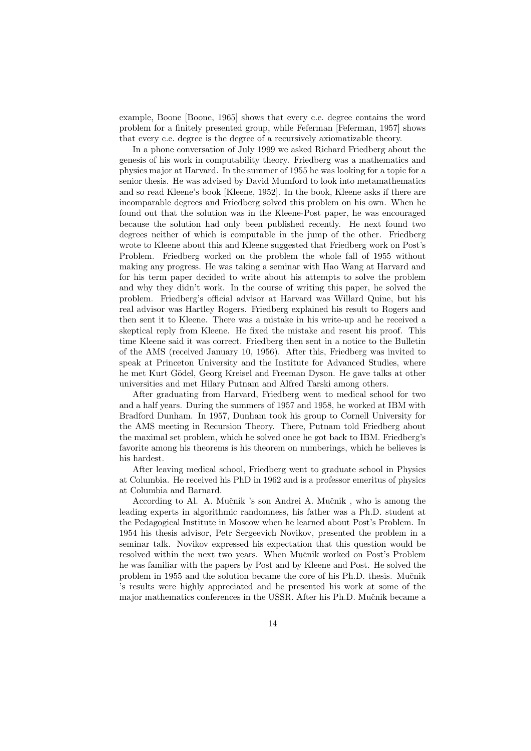example, Boone [Boone, 1965] shows that every c.e. degree contains the word problem for a finitely presented group, while Feferman [Feferman, 1957] shows that every c.e. degree is the degree of a recursively axiomatizable theory.

In a phone conversation of July 1999 we asked Richard Friedberg about the genesis of his work in computability theory. Friedberg was a mathematics and physics major at Harvard. In the summer of 1955 he was looking for a topic for a senior thesis. He was advised by David Mumford to look into metamathematics and so read Kleene's book [Kleene, 1952]. In the book, Kleene asks if there are incomparable degrees and Friedberg solved this problem on his own. When he found out that the solution was in the Kleene-Post paper, he was encouraged because the solution had only been published recently. He next found two degrees neither of which is computable in the jump of the other. Friedberg wrote to Kleene about this and Kleene suggested that Friedberg work on Post's Problem. Friedberg worked on the problem the whole fall of 1955 without making any progress. He was taking a seminar with Hao Wang at Harvard and for his term paper decided to write about his attempts to solve the problem and why they didn't work. In the course of writing this paper, he solved the problem. Friedberg's official advisor at Harvard was Willard Quine, but his real advisor was Hartley Rogers. Friedberg explained his result to Rogers and then sent it to Kleene. There was a mistake in his write-up and he received a skeptical reply from Kleene. He fixed the mistake and resent his proof. This time Kleene said it was correct. Friedberg then sent in a notice to the Bulletin of the AMS (received January 10, 1956). After this, Friedberg was invited to speak at Princeton University and the Institute for Advanced Studies, where he met Kurt Gödel, Georg Kreisel and Freeman Dyson. He gave talks at other universities and met Hilary Putnam and Alfred Tarski among others.

After graduating from Harvard, Friedberg went to medical school for two and a half years. During the summers of 1957 and 1958, he worked at IBM with Bradford Dunham. In 1957, Dunham took his group to Cornell University for the AMS meeting in Recursion Theory. There, Putnam told Friedberg about the maximal set problem, which he solved once he got back to IBM. Friedberg's favorite among his theorems is his theorem on numberings, which he believes is his hardest.

After leaving medical school, Friedberg went to graduate school in Physics at Columbia. He received his PhD in 1962 and is a professor emeritus of physics at Columbia and Barnard.

According to Al. A. Mučnik 's son Andrei A. Mučnik, who is among the leading experts in algorithmic randomness, his father was a Ph.D. student at the Pedagogical Institute in Moscow when he learned about Post's Problem. In 1954 his thesis advisor, Petr Sergeevich Novikov, presented the problem in a seminar talk. Novikov expressed his expectation that this question would be resolved within the next two years. When Mučnik worked on Post's Problem he was familiar with the papers by Post and by Kleene and Post. He solved the problem in 1955 and the solution became the core of his Ph.D. thesis. Mučnik 's results were highly appreciated and he presented his work at some of the major mathematics conferences in the USSR. After his Ph.D. Mučnik became a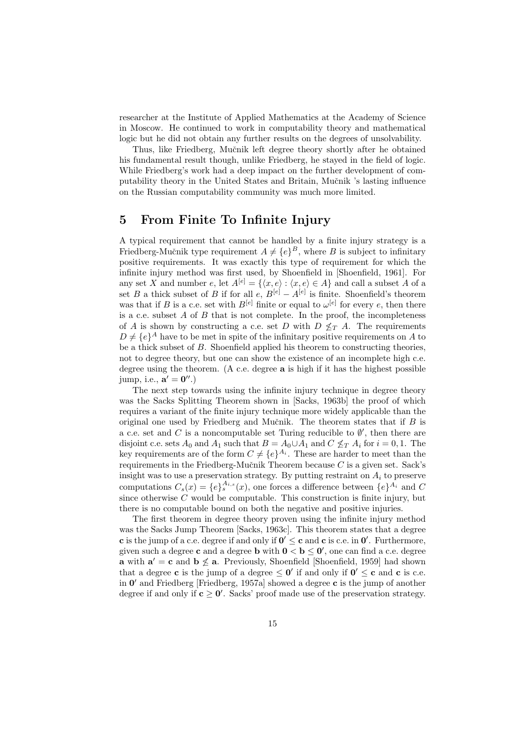researcher at the Institute of Applied Mathematics at the Academy of Science in Moscow. He continued to work in computability theory and mathematical logic but he did not obtain any further results on the degrees of unsolvability.

Thus, like Friedberg, Mučnik left degree theory shortly after he obtained his fundamental result though, unlike Friedberg, he stayed in the field of logic. While Friedberg's work had a deep impact on the further development of computability theory in the United States and Britain, Mučnik 's lasting influence on the Russian computability community was much more limited.

#### 5 From Finite To Infinite Injury

A typical requirement that cannot be handled by a finite injury strategy is a Friedberg-Mučnik type requirement  $A \neq \{e\}^B$ , where B is subject to infinitary positive requirements. It was exactly this type of requirement for which the infinite injury method was first used, by Shoenfield in [Shoenfield, 1961]. For any set X and number e, let  $A^{[e]} = \{ \langle x, e \rangle : \langle x, e \rangle \in A \}$  and call a subset A of a set B a thick subset of B if for all  $e$ ,  $B^{[e]} - A^{[e]}$  is finite. Shoenfield's theorem was that if B is a c.e. set with  $B^{[e]}$  finite or equal to  $\omega^{[e]}$  for every e, then there is a c.e. subset  $A$  of  $B$  that is not complete. In the proof, the incompleteness of A is shown by constructing a c.e. set D with  $D \nleq_T A$ . The requirements  $D \neq \{e\}^A$  have to be met in spite of the infinitary positive requirements on A to be a thick subset of B. Shoenfield applied his theorem to constructing theories, not to degree theory, but one can show the existence of an incomplete high c.e. degree using the theorem. (A c.e. degree a is high if it has the highest possible jump, i.e.,  $\mathbf{a}' = \mathbf{0}''$ .)

The next step towards using the infinite injury technique in degree theory was the Sacks Splitting Theorem shown in [Sacks, 1963b] the proof of which requires a variant of the finite injury technique more widely applicable than the original one used by Friedberg and Mučnik. The theorem states that if  $B$  is a c.e. set and C is a noncomputable set Turing reducible to  $\emptyset'$ , then there are disjoint c.e. sets  $A_0$  and  $A_1$  such that  $B = A_0 \cup A_1$  and  $C \nleq_T A_i$  for  $i = 0, 1$ . The key requirements are of the form  $C \neq \{e\}^{A_i}$ . These are harder to meet than the requirements in the Friedberg-Mučnik Theorem because  $C$  is a given set. Sack's insight was to use a preservation strategy. By putting restraint on  $A_i$  to preserve computations  $C_s(x) = \{e\}^{A_{i,s}}_s(x)$ , one forces a difference between  $\{e\}^{A_i}$  and C since otherwise  $C$  would be computable. This construction is finite injury, but there is no computable bound on both the negative and positive injuries.

The first theorem in degree theory proven using the infinite injury method was the Sacks Jump Theorem [Sacks, 1963c]. This theorem states that a degree **c** is the jump of a c.e. degree if and only if  $0' \le c$  and **c** is c.e. in  $0'$ . Furthermore, given such a degree **c** and a degree **b** with  $0 < b \le 0'$ , one can find a c.e. degree **a** with  $a' = c$  and  $b \nleq a$ . Previously, Shoenfield [Shoenfield, 1959] had shown that a degree **c** is the jump of a degree  $\leq 0'$  if and only if  $0' \leq c$  and **c** is c.e. in  $0'$  and Friedberg [Friedberg, 1957a] showed a degree c is the jump of another degree if and only if  $c \geq 0'$ . Sacks' proof made use of the preservation strategy.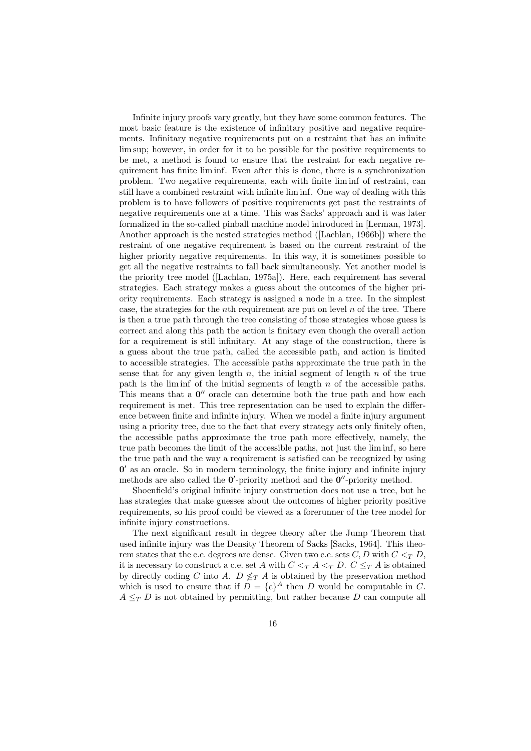Infinite injury proofs vary greatly, but they have some common features. The most basic feature is the existence of infinitary positive and negative requirements. Infinitary negative requirements put on a restraint that has an infinite lim sup; however, in order for it to be possible for the positive requirements to be met, a method is found to ensure that the restraint for each negative requirement has finite lim inf. Even after this is done, there is a synchronization problem. Two negative requirements, each with finite lim inf of restraint, can still have a combined restraint with infinite lim inf. One way of dealing with this problem is to have followers of positive requirements get past the restraints of negative requirements one at a time. This was Sacks' approach and it was later formalized in the so-called pinball machine model introduced in [Lerman, 1973]. Another approach is the nested strategies method ([Lachlan, 1966b]) where the restraint of one negative requirement is based on the current restraint of the higher priority negative requirements. In this way, it is sometimes possible to get all the negative restraints to fall back simultaneously. Yet another model is the priority tree model ([Lachlan, 1975a]). Here, each requirement has several strategies. Each strategy makes a guess about the outcomes of the higher priority requirements. Each strategy is assigned a node in a tree. In the simplest case, the strategies for the *n*th requirement are put on level  $n$  of the tree. There is then a true path through the tree consisting of those strategies whose guess is correct and along this path the action is finitary even though the overall action for a requirement is still infinitary. At any stage of the construction, there is a guess about the true path, called the accessible path, and action is limited to accessible strategies. The accessible paths approximate the true path in the sense that for any given length n, the initial segment of length  $n$  of the true path is the liminf of the initial segments of length  $n$  of the accessible paths. This means that a  $0''$  oracle can determine both the true path and how each requirement is met. This tree representation can be used to explain the difference between finite and infinite injury. When we model a finite injury argument using a priority tree, due to the fact that every strategy acts only finitely often, the accessible paths approximate the true path more effectively, namely, the true path becomes the limit of the accessible paths, not just the lim inf, so here the true path and the way a requirement is satisfied can be recognized by using  $0'$  as an oracle. So in modern terminology, the finite injury and infinite injury methods are also called the  $0'$ -priority method and the  $0''$ -priority method.

Shoenfield's original infinite injury construction does not use a tree, but he has strategies that make guesses about the outcomes of higher priority positive requirements, so his proof could be viewed as a forerunner of the tree model for infinite injury constructions.

The next significant result in degree theory after the Jump Theorem that used infinite injury was the Density Theorem of Sacks [Sacks, 1964]. This theorem states that the c.e. degrees are dense. Given two c.e. sets C, D with  $C <_T D$ , it is necessary to construct a c.e. set A with  $C <_T A <_T D$ .  $C \leq_T A$  is obtained by directly coding C into A.  $D \nleq_T A$  is obtained by the preservation method which is used to ensure that if  $D = \{e\}^A$  then D would be computable in C.  $A \leq_T D$  is not obtained by permitting, but rather because D can compute all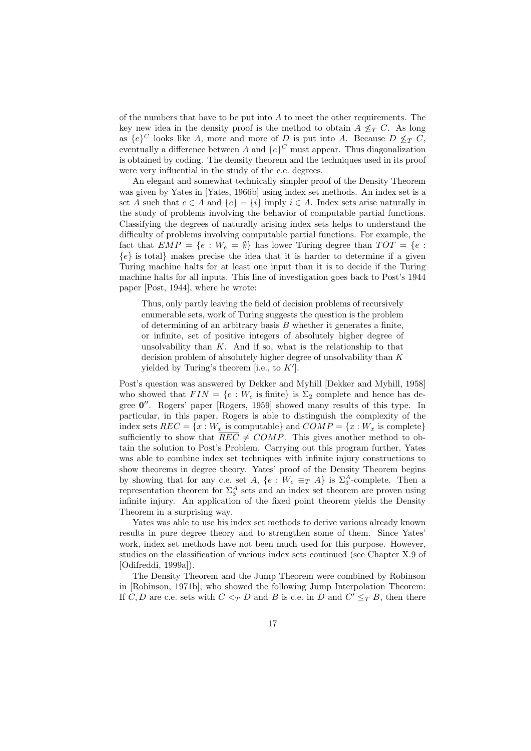of the numbers that have to be put into A to meet the other requirements. The key new idea in the density proof is the method to obtain  $A \nleq_T C$ . As long as  $\{e\}^C$  looks like A, more and more of D is put into A. Because  $D \nleq_T C$ , eventually a difference between A and  $\{e\}^C$  must appear. Thus diagonalization is obtained by coding. The density theorem and the techniques used in its proof were very influential in the study of the c.e. degrees.

An elegant and somewhat technically simpler proof of the Density Theorem was given by Yates in [Yates, 1966b] using index set methods. An index set is a set A such that  $e \in A$  and  $\{e\} = \{i\}$  imply  $i \in A$ . Index sets arise naturally in the study of problems involving the behavior of computable partial functions. Classifying the degrees of naturally arising index sets helps to understand the difficulty of problems involving computable partial functions. For example, the fact that  $EMP = \{e : W_e = \emptyset\}$  has lower Turing degree than  $TOT = \{e :$  ${e}$  is total makes precise the idea that it is harder to determine if a given Turing machine halts for at least one input than it is to decide if the Turing machine halts for all inputs. This line of investigation goes back to Post's 1944 paper [Post, 1944], where he wrote:

Thus, only partly leaving the field of decision problems of recursively enumerable sets, work of Turing suggests the question is the problem of determining of an arbitrary basis  $B$  whether it generates a finite, or infinite, set of positive integers of absolutely higher degree of unsolvability than  $K$ . And if so, what is the relationship to that decision problem of absolutely higher degree of unsolvability than K yielded by Turing's theorem [i.e., to  $K'$ ].

Post's question was answered by Dekker and Myhill [Dekker and Myhill, 1958] who showed that  $FIN = \{e : W_e \text{ is finite}\}\$ is  $\Sigma_2$  complete and hence has degree  $0''$ . Rogers' paper [Rogers, 1959] showed many results of this type. In particular, in this paper, Rogers is able to distinguish the complexity of the index sets  $REC = \{x : W_x \text{ is computable}\}\$ and  $COMP = \{x : W_x \text{ is complete}\}\$ sufficiently to show that  $\overline{REC} \neq COMP$ . This gives another method to obtain the solution to Post's Problem. Carrying out this program further, Yates was able to combine index set techniques with infinite injury constructions to show theorems in degree theory. Yates' proof of the Density Theorem begins by showing that for any c.e. set A,  $\{e : W_e \equiv_T A\}$  is  $\Sigma_3^A$ -complete. Then a representation theorem for  $\Sigma_3^A$  sets and an index set theorem are proven using infinite injury. An application of the fixed point theorem yields the Density Theorem in a surprising way.

Yates was able to use his index set methods to derive various already known results in pure degree theory and to strengthen some of them. Since Yates' work, index set methods have not been much used for this purpose. However, studies on the classification of various index sets continued (see Chapter X.9 of [Odifreddi, 1999a]).

The Density Theorem and the Jump Theorem were combined by Robinson in [Robinson, 1971b], who showed the following Jump Interpolation Theorem: If C, D are c.e. sets with  $C \leq_T D$  and B is c.e. in D and  $C' \leq_T B$ , then there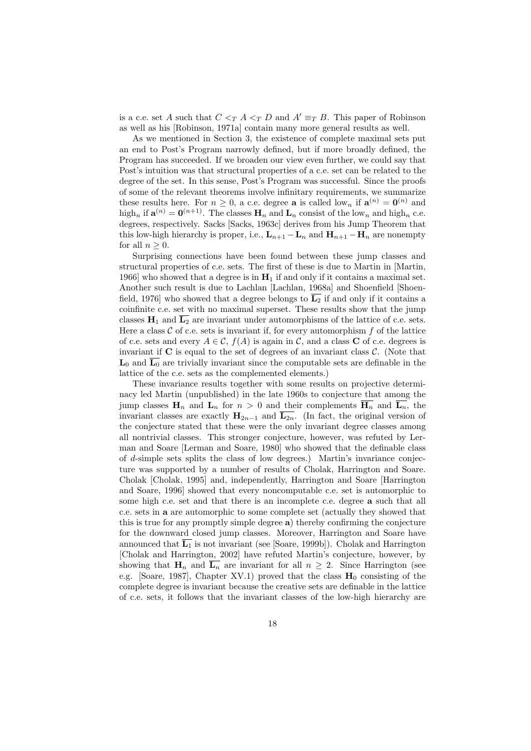is a c.e. set A such that  $C \leq_T A \leq_T D$  and  $A' \equiv_T B$ . This paper of Robinson as well as his [Robinson, 1971a] contain many more general results as well.

As we mentioned in Section 3, the existence of complete maximal sets put an end to Post's Program narrowly defined, but if more broadly defined, the Program has succeeded. If we broaden our view even further, we could say that Post's intuition was that structural properties of a c.e. set can be related to the degree of the set. In this sense, Post's Program was successful. Since the proofs of some of the relevant theorems involve infinitary requirements, we summarize these results here. For  $n \geq 0$ , a c.e. degree **a** is called low<sub>n</sub> if  $\mathbf{a}^{(n)} = \mathbf{0}^{(n)}$  and high<sub>n</sub> if  $\mathbf{a}^{(n)} = \mathbf{0}^{(n+1)}$ . The classes  $\mathbf{H}_n$  and  $\mathbf{L}_n$  consist of the low<sub>n</sub> and high<sub>n</sub> c.e. degrees, respectively. Sacks [Sacks, 1963c] derives from his Jump Theorem that this low-high hierarchy is proper, i.e.,  $\mathbf{L}_{n+1} - \mathbf{L}_n$  and  $\mathbf{H}_{n+1} - \mathbf{H}_n$  are nonempty for all  $n > 0$ .

Surprising connections have been found between these jump classes and structural properties of c.e. sets. The first of these is due to Martin in [Martin, 1966] who showed that a degree is in  $H_1$  if and only if it contains a maximal set. Another such result is due to Lachlan [Lachlan, 1968a] and Shoenfield [Shoenfield, 1976] who showed that a degree belongs to  $\overline{\mathbf{L}_2}$  if and only if it contains a coinfinite c.e. set with no maximal superset. These results show that the jump classes  $H_1$  and  $\overline{L_2}$  are invariant under automorphisms of the lattice of c.e. sets. Here a class  $\mathcal C$  of c.e. sets is invariant if, for every automorphism  $f$  of the lattice of c.e. sets and every  $A \in \mathcal{C}$ ,  $f(A)$  is again in  $\mathcal{C}$ , and a class **C** of c.e. degrees is invariant if  $C$  is equal to the set of degrees of an invariant class  $C$ . (Note that  $L_0$  and  $\overline{L_0}$  are trivially invariant since the computable sets are definable in the lattice of the c.e. sets as the complemented elements.)

These invariance results together with some results on projective determinacy led Martin (unpublished) in the late 1960s to conjecture that among the jump classes  $H_n$  and  $L_n$  for  $n > 0$  and their complements  $\overline{H_n}$  and  $\overline{L_n}$ , the invariant classes are exactly  $\mathbf{H}_{2n-1}$  and  $\overline{\mathbf{L}_{2n}}$ . (In fact, the original version of the conjecture stated that these were the only invariant degree classes among all nontrivial classes. This stronger conjecture, however, was refuted by Lerman and Soare [Lerman and Soare, 1980] who showed that the definable class of d-simple sets splits the class of low degrees.) Martin's invariance conjecture was supported by a number of results of Cholak, Harrington and Soare. Cholak [Cholak, 1995] and, independently, Harrington and Soare [Harrington and Soare, 1996] showed that every noncomputable c.e. set is automorphic to some high c.e. set and that there is an incomplete c.e. degree a such that all c.e. sets in a are automorphic to some complete set (actually they showed that this is true for any promptly simple degree a) thereby confirming the conjecture for the downward closed jump classes. Moreover, Harrington and Soare have announced that  $\overline{L_1}$  is not invariant (see [Soare, 1999b]). Cholak and Harrington [Cholak and Harrington, 2002] have refuted Martin's conjecture, however, by showing that  $H_n$  and  $\overline{L_n}$  are invariant for all  $n \geq 2$ . Since Harrington (see e.g. [Soare, 1987], Chapter XV.1] proved that the class  $H_0$  consisting of the complete degree is invariant because the creative sets are definable in the lattice of c.e. sets, it follows that the invariant classes of the low-high hierarchy are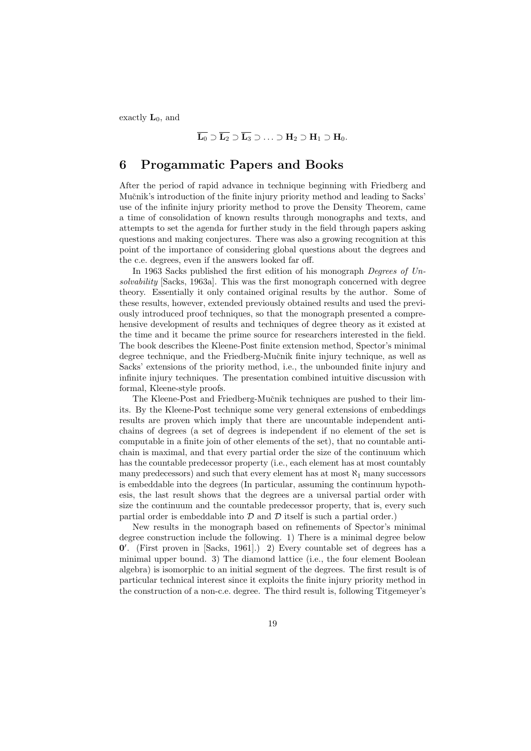exactly  $L_0$ , and

$$
\overline{\mathbf{L}_0} \supset \overline{\mathbf{L}_2} \supset \overline{\mathbf{L}_3} \supset \ldots \supset \mathbf{H}_2 \supset \mathbf{H}_1 \supset \mathbf{H}_0.
$$

#### 6 Progammatic Papers and Books

After the period of rapid advance in technique beginning with Friedberg and Mučnik's introduction of the finite injury priority method and leading to Sacks' use of the infinite injury priority method to prove the Density Theorem, came a time of consolidation of known results through monographs and texts, and attempts to set the agenda for further study in the field through papers asking questions and making conjectures. There was also a growing recognition at this point of the importance of considering global questions about the degrees and the c.e. degrees, even if the answers looked far off.

In 1963 Sacks published the first edition of his monograph Degrees of Unsolvability [Sacks, 1963a]. This was the first monograph concerned with degree theory. Essentially it only contained original results by the author. Some of these results, however, extended previously obtained results and used the previously introduced proof techniques, so that the monograph presented a comprehensive development of results and techniques of degree theory as it existed at the time and it became the prime source for researchers interested in the field. The book describes the Kleene-Post finite extension method, Spector's minimal degree technique, and the Friedberg-Mučnik finite injury technique, as well as Sacks' extensions of the priority method, i.e., the unbounded finite injury and infinite injury techniques. The presentation combined intuitive discussion with formal, Kleene-style proofs.

The Kleene-Post and Friedberg-Mučnik techniques are pushed to their limits. By the Kleene-Post technique some very general extensions of embeddings results are proven which imply that there are uncountable independent antichains of degrees (a set of degrees is independent if no element of the set is computable in a finite join of other elements of the set), that no countable antichain is maximal, and that every partial order the size of the continuum which has the countable predecessor property (i.e., each element has at most countably many predecessors) and such that every element has at most  $\aleph_1$  many successors is embeddable into the degrees (In particular, assuming the continuum hypothesis, the last result shows that the degrees are a universal partial order with size the continuum and the countable predecessor property, that is, every such partial order is embeddable into  $D$  and  $D$  itself is such a partial order.)

New results in the monograph based on refinements of Spector's minimal degree construction include the following. 1) There is a minimal degree below 0 0 . (First proven in [Sacks, 1961].) 2) Every countable set of degrees has a minimal upper bound. 3) The diamond lattice (i.e., the four element Boolean algebra) is isomorphic to an initial segment of the degrees. The first result is of particular technical interest since it exploits the finite injury priority method in the construction of a non-c.e. degree. The third result is, following Titgemeyer's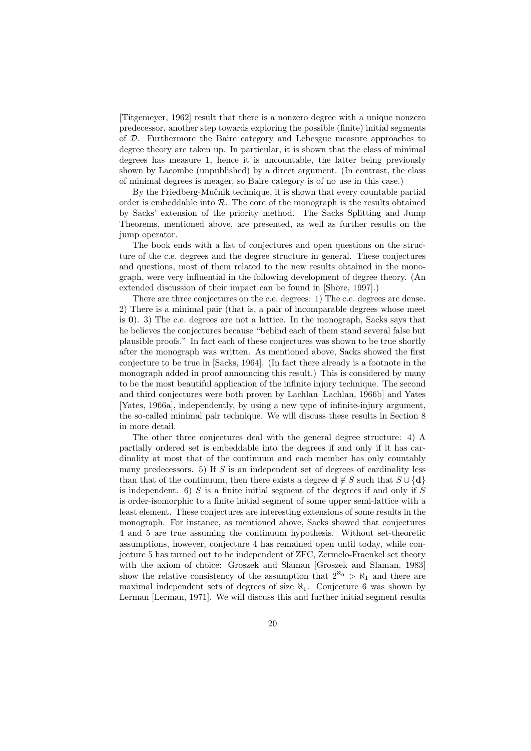[Titgemeyer, 1962] result that there is a nonzero degree with a unique nonzero predecessor, another step towards exploring the possible (finite) initial segments of D. Furthermore the Baire category and Lebesgue measure approaches to degree theory are taken up. In particular, it is shown that the class of minimal degrees has measure 1, hence it is uncountable, the latter being previously shown by Lacombe (unpublished) by a direct argument. (In contrast, the class of minimal degrees is meager, so Baire category is of no use in this case.)

By the Friedberg-Mučnik technique, it is shown that every countable partial order is embeddable into  $R$ . The core of the monograph is the results obtained by Sacks' extension of the priority method. The Sacks Splitting and Jump Theorems, mentioned above, are presented, as well as further results on the jump operator.

The book ends with a list of conjectures and open questions on the structure of the c.e. degrees and the degree structure in general. These conjectures and questions, most of them related to the new results obtained in the monograph, were very influential in the following development of degree theory. (An extended discussion of their impact can be found in [Shore, 1997].)

There are three conjectures on the c.e. degrees: 1) The c.e. degrees are dense. 2) There is a minimal pair (that is, a pair of incomparable degrees whose meet is 0). 3) The c.e. degrees are not a lattice. In the monograph, Sacks says that he believes the conjectures because "behind each of them stand several false but plausible proofs." In fact each of these conjectures was shown to be true shortly after the monograph was written. As mentioned above, Sacks showed the first conjecture to be true in [Sacks, 1964]. (In fact there already is a footnote in the monograph added in proof announcing this result.) This is considered by many to be the most beautiful application of the infinite injury technique. The second and third conjectures were both proven by Lachlan [Lachlan, 1966b] and Yates [Yates, 1966a], independently, by using a new type of infinite-injury argument, the so-called minimal pair technique. We will discuss these results in Section 8 in more detail.

The other three conjectures deal with the general degree structure: 4) A partially ordered set is embeddable into the degrees if and only if it has cardinality at most that of the continuum and each member has only countably many predecessors. 5) If  $S$  is an independent set of degrees of cardinality less than that of the continuum, then there exists a degree  $\mathbf{d} \notin S$  such that  $S \cup \{ \mathbf{d} \}$ is independent.  $6)$  S is a finite initial segment of the degrees if and only if S is order-isomorphic to a finite initial segment of some upper semi-lattice with a least element. These conjectures are interesting extensions of some results in the monograph. For instance, as mentioned above, Sacks showed that conjectures 4 and 5 are true assuming the continuum hypothesis. Without set-theoretic assumptions, however, conjecture 4 has remained open until today, while conjecture 5 has turned out to be independent of ZFC, Zermelo-Fraenkel set theory with the axiom of choice: Groszek and Slaman [Groszek and Slaman, 1983] show the relative consistency of the assumption that  $2^{\aleph_0} > \aleph_1$  and there are maximal independent sets of degrees of size  $\aleph_1$ . Conjecture 6 was shown by Lerman [Lerman, 1971]. We will discuss this and further initial segment results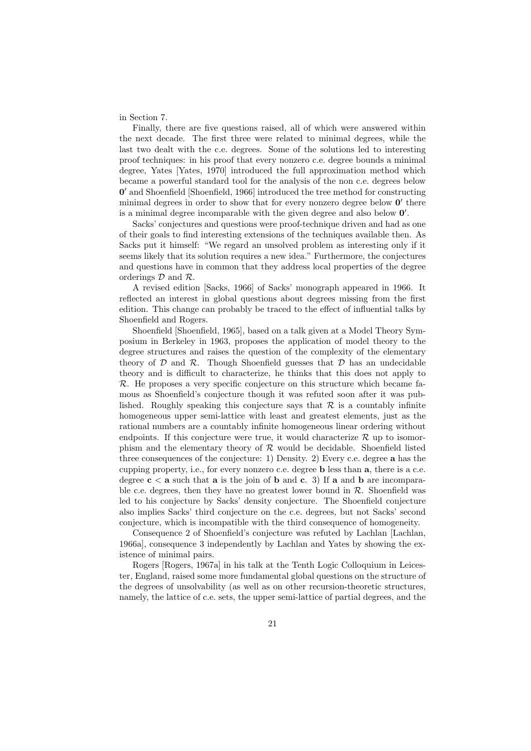in Section 7.

Finally, there are five questions raised, all of which were answered within the next decade. The first three were related to minimal degrees, while the last two dealt with the c.e. degrees. Some of the solutions led to interesting proof techniques: in his proof that every nonzero c.e. degree bounds a minimal degree, Yates [Yates, 1970] introduced the full approximation method which became a powerful standard tool for the analysis of the non c.e. degrees below 0' and Shoenfield [Shoenfield, 1966] introduced the tree method for constructing minimal degrees in order to show that for every nonzero degree below  $0'$  there is a minimal degree incomparable with the given degree and also below  $0'$ .

Sacks' conjectures and questions were proof-technique driven and had as one of their goals to find interesting extensions of the techniques available then. As Sacks put it himself: "We regard an unsolved problem as interesting only if it seems likely that its solution requires a new idea." Furthermore, the conjectures and questions have in common that they address local properties of the degree orderings  $D$  and  $R$ .

A revised edition [Sacks, 1966] of Sacks' monograph appeared in 1966. It reflected an interest in global questions about degrees missing from the first edition. This change can probably be traced to the effect of influential talks by Shoenfield and Rogers.

Shoenfield [Shoenfield, 1965], based on a talk given at a Model Theory Symposium in Berkeley in 1963, proposes the application of model theory to the degree structures and raises the question of the complexity of the elementary theory of  $D$  and  $R$ . Though Shoenfield guesses that  $D$  has an undecidable theory and is difficult to characterize, he thinks that this does not apply to  $R$ . He proposes a very specific conjecture on this structure which became famous as Shoenfield's conjecture though it was refuted soon after it was published. Roughly speaking this conjecture says that  $\mathcal R$  is a countably infinite homogeneous upper semi-lattice with least and greatest elements, just as the rational numbers are a countably infinite homogeneous linear ordering without endpoints. If this conjecture were true, it would characterize  $\mathcal{R}$  up to isomorphism and the elementary theory of  $R$  would be decidable. Shoenfield listed three consequences of the conjecture: 1) Density. 2) Every c.e. degree a has the cupping property, i.e., for every nonzero c.e. degree b less than a, there is a c.e. degree  $c < a$  such that a is the join of b and c. 3) If a and b are incomparable c.e. degrees, then they have no greatest lower bound in  $\mathcal{R}$ . Shoenfield was led to his conjecture by Sacks' density conjecture. The Shoenfield conjecture also implies Sacks' third conjecture on the c.e. degrees, but not Sacks' second conjecture, which is incompatible with the third consequence of homogeneity.

Consequence 2 of Shoenfield's conjecture was refuted by Lachlan [Lachlan, 1966a], consequence 3 independently by Lachlan and Yates by showing the existence of minimal pairs.

Rogers [Rogers, 1967a] in his talk at the Tenth Logic Colloquium in Leicester, England, raised some more fundamental global questions on the structure of the degrees of unsolvability (as well as on other recursion-theoretic structures, namely, the lattice of c.e. sets, the upper semi-lattice of partial degrees, and the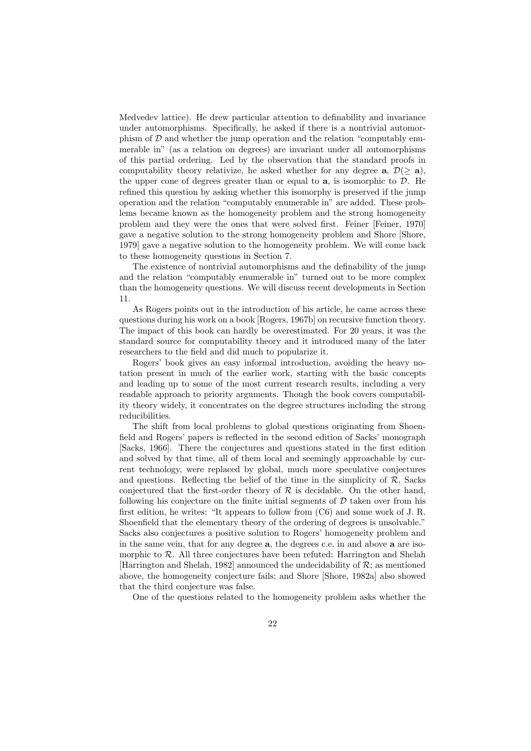Medvedev lattice). He drew particular attention to definability and invariance under automorphisms. Specifically, he asked if there is a nontrivial automorphism of  $D$  and whether the jump operation and the relation "computably enumerable in" (as a relation on degrees) are invariant under all automorphisms of this partial ordering. Led by the observation that the standard proofs in computability theory relativize, he asked whether for any degree  $a, \mathcal{D}(\geq a)$ , the upper cone of degrees greater than or equal to  $a$ , is isomorphic to  $D$ . He refined this question by asking whether this isomorphy is preserved if the jump operation and the relation "computably enumerable in" are added. These problems became known as the homogeneity problem and the strong homogeneity problem and they were the ones that were solved first. Feiner [Feiner, 1970] gave a negative solution to the strong homogeneity problem and Shore [Shore, 1979] gave a negative solution to the homogeneity problem. We will come back to these homogeneity questions in Section 7.

The existence of nontrivial automorphisms and the definability of the jump and the relation "computably enumerable in" turned out to be more complex than the homogeneity questions. We will discuss recent developments in Section 11.

As Rogers points out in the introduction of his article, he came across these questions during his work on a book [Rogers, 1967b] on recursive function theory. The impact of this book can hardly be overestimated. For 20 years, it was the standard source for computability theory and it introduced many of the later researchers to the field and did much to popularize it.

Rogers' book gives an easy informal introduction, avoiding the heavy notation present in much of the earlier work, starting with the basic concepts and leading up to some of the most current research results, including a very readable approach to priority arguments. Though the book covers computability theory widely, it concentrates on the degree structures including the strong reducibilities.

The shift from local problems to global questions originating from Shoenfield and Rogers' papers is reflected in the second edition of Sacks' monograph [Sacks, 1966]. There the conjectures and questions stated in the first edition and solved by that time, all of them local and seemingly approachable by current technology, were replaced by global, much more speculative conjectures and questions. Reflecting the belief of the time in the simplicity of  $\mathcal{R}$ , Sacks conjectured that the first-order theory of  $R$  is decidable. On the other hand, following his conjecture on the finite initial segments of  $D$  taken over from his first edition, he writes: "It appears to follow from (C6) and some work of J. R. Shoenfield that the elementary theory of the ordering of degrees is unsolvable." Sacks also conjectures a positive solution to Rogers' homogeneity problem and in the same vein, that for any degree a, the degrees c.e. in and above a are isomorphic to  $R$ . All three conjectures have been refuted: Harrington and Shelah [Harrington and Shelah, 1982] announced the undecidability of R; as mentioned above, the homogeneity conjecture fails; and Shore [Shore, 1982a] also showed that the third conjecture was false.

One of the questions related to the homogeneity problem asks whether the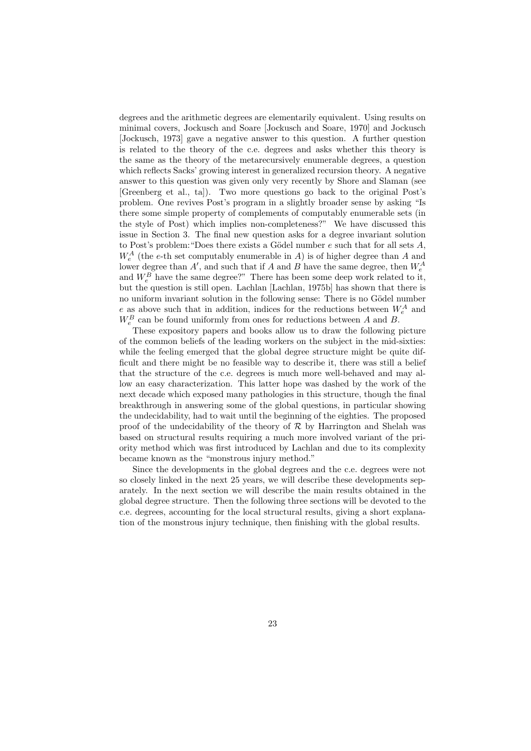degrees and the arithmetic degrees are elementarily equivalent. Using results on minimal covers, Jockusch and Soare [Jockusch and Soare, 1970] and Jockusch [Jockusch, 1973] gave a negative answer to this question. A further question is related to the theory of the c.e. degrees and asks whether this theory is the same as the theory of the metarecursively enumerable degrees, a question which reflects Sacks' growing interest in generalized recursion theory. A negative answer to this question was given only very recently by Shore and Slaman (see [Greenberg et al., ta]). Two more questions go back to the original Post's problem. One revives Post's program in a slightly broader sense by asking "Is there some simple property of complements of computably enumerable sets (in the style of Post) which implies non-completeness?" We have discussed this issue in Section 3. The final new question asks for a degree invariant solution to Post's problem: "Does there exists a Gödel number  $e$  such that for all sets  $A$ .  $W_e^A$  (the e-th set computably enumerable in A) is of higher degree than A and lower degree than  $A'$ , and such that if A and B have the same degree, then  $W_e^A$ and  $W_e^B$  have the same degree?" There has been some deep work related to it, but the question is still open. Lachlan [Lachlan, 1975b] has shown that there is no uniform invariant solution in the following sense: There is no Gödel number e as above such that in addition, indices for the reductions between  $W_e^A$  and  $W_e^B$  can be found uniformly from ones for reductions between A and B.

These expository papers and books allow us to draw the following picture of the common beliefs of the leading workers on the subject in the mid-sixties: while the feeling emerged that the global degree structure might be quite difficult and there might be no feasible way to describe it, there was still a belief that the structure of the c.e. degrees is much more well-behaved and may allow an easy characterization. This latter hope was dashed by the work of the next decade which exposed many pathologies in this structure, though the final breakthrough in answering some of the global questions, in particular showing the undecidability, had to wait until the beginning of the eighties. The proposed proof of the undecidability of the theory of  $R$  by Harrington and Shelah was based on structural results requiring a much more involved variant of the priority method which was first introduced by Lachlan and due to its complexity became known as the "monstrous injury method."

Since the developments in the global degrees and the c.e. degrees were not so closely linked in the next 25 years, we will describe these developments separately. In the next section we will describe the main results obtained in the global degree structure. Then the following three sections will be devoted to the c.e. degrees, accounting for the local structural results, giving a short explanation of the monstrous injury technique, then finishing with the global results.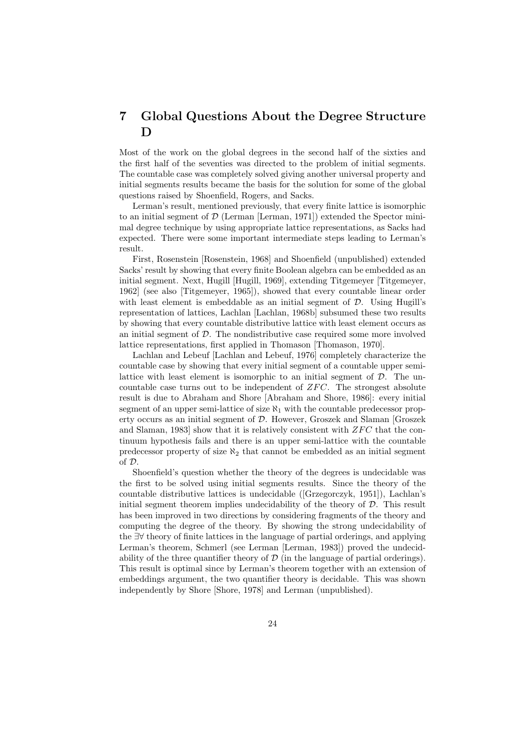# 7 Global Questions About the Degree Structure  $\mathbf D$

Most of the work on the global degrees in the second half of the sixties and the first half of the seventies was directed to the problem of initial segments. The countable case was completely solved giving another universal property and initial segments results became the basis for the solution for some of the global questions raised by Shoenfield, Rogers, and Sacks.

Lerman's result, mentioned previously, that every finite lattice is isomorphic to an initial segment of  $\mathcal D$  (Lerman [Lerman, 1971]) extended the Spector minimal degree technique by using appropriate lattice representations, as Sacks had expected. There were some important intermediate steps leading to Lerman's result.

First, Rosenstein [Rosenstein, 1968] and Shoenfield (unpublished) extended Sacks' result by showing that every finite Boolean algebra can be embedded as an initial segment. Next, Hugill [Hugill, 1969], extending Titgemeyer [Titgemeyer, 1962] (see also [Titgemeyer, 1965]), showed that every countable linear order with least element is embeddable as an initial segment of  $D$ . Using Hugill's representation of lattices, Lachlan [Lachlan, 1968b] subsumed these two results by showing that every countable distributive lattice with least element occurs as an initial segment of D. The nondistributive case required some more involved lattice representations, first applied in Thomason [Thomason, 1970].

Lachlan and Lebeuf [Lachlan and Lebeuf, 1976] completely characterize the countable case by showing that every initial segment of a countable upper semilattice with least element is isomorphic to an initial segment of  $D$ . The uncountable case turns out to be independent of  $ZFC$ . The strongest absolute result is due to Abraham and Shore [Abraham and Shore, 1986]: every initial segment of an upper semi-lattice of size  $\aleph_1$  with the countable predecessor property occurs as an initial segment of D. However, Groszek and Slaman [Groszek and Slaman, 1983] show that it is relatively consistent with  $ZFC$  that the continuum hypothesis fails and there is an upper semi-lattice with the countable predecessor property of size  $\aleph_2$  that cannot be embedded as an initial segment of D.

Shoenfield's question whether the theory of the degrees is undecidable was the first to be solved using initial segments results. Since the theory of the countable distributive lattices is undecidable ([Grzegorczyk, 1951]), Lachlan's initial segment theorem implies undecidability of the theory of  $D$ . This result has been improved in two directions by considering fragments of the theory and computing the degree of the theory. By showing the strong undecidability of the ∃∀ theory of finite lattices in the language of partial orderings, and applying Lerman's theorem, Schmerl (see Lerman [Lerman, 1983]) proved the undecidability of the three quantifier theory of  $\mathcal D$  (in the language of partial orderings). This result is optimal since by Lerman's theorem together with an extension of embeddings argument, the two quantifier theory is decidable. This was shown independently by Shore [Shore, 1978] and Lerman (unpublished).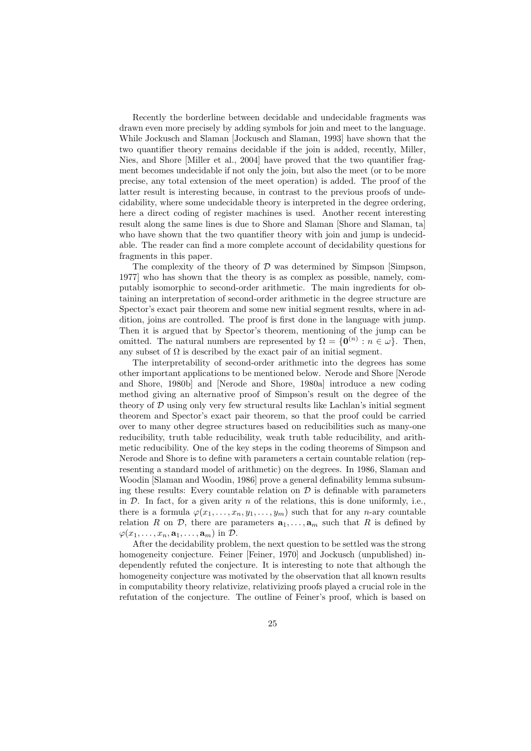Recently the borderline between decidable and undecidable fragments was drawn even more precisely by adding symbols for join and meet to the language. While Jockusch and Slaman [Jockusch and Slaman, 1993] have shown that the two quantifier theory remains decidable if the join is added, recently, Miller, Nies, and Shore [Miller et al., 2004] have proved that the two quantifier fragment becomes undecidable if not only the join, but also the meet (or to be more precise, any total extension of the meet operation) is added. The proof of the latter result is interesting because, in contrast to the previous proofs of undecidability, where some undecidable theory is interpreted in the degree ordering, here a direct coding of register machines is used. Another recent interesting result along the same lines is due to Shore and Slaman [Shore and Slaman, ta] who have shown that the two quantifier theory with join and jump is undecidable. The reader can find a more complete account of decidability questions for fragments in this paper.

The complexity of the theory of  $D$  was determined by Simpson [Simpson, 1977] who has shown that the theory is as complex as possible, namely, computably isomorphic to second-order arithmetic. The main ingredients for obtaining an interpretation of second-order arithmetic in the degree structure are Spector's exact pair theorem and some new initial segment results, where in addition, joins are controlled. The proof is first done in the language with jump. Then it is argued that by Spector's theorem, mentioning of the jump can be omitted. The natural numbers are represented by  $\Omega = \{0^{(n)} : n \in \omega\}$ . Then, any subset of  $\Omega$  is described by the exact pair of an initial segment.

The interpretability of second-order arithmetic into the degrees has some other important applications to be mentioned below. Nerode and Shore [Nerode and Shore, 1980b] and [Nerode and Shore, 1980a] introduce a new coding method giving an alternative proof of Simpson's result on the degree of the theory of  $D$  using only very few structural results like Lachlan's initial segment theorem and Spector's exact pair theorem, so that the proof could be carried over to many other degree structures based on reducibilities such as many-one reducibility, truth table reducibility, weak truth table reducibility, and arithmetic reducibility. One of the key steps in the coding theorems of Simpson and Nerode and Shore is to define with parameters a certain countable relation (representing a standard model of arithmetic) on the degrees. In 1986, Slaman and Woodin [Slaman and Woodin, 1986] prove a general definability lemma subsuming these results: Every countable relation on  $\mathcal D$  is definable with parameters in  $D$ . In fact, for a given arity n of the relations, this is done uniformly, i.e., there is a formula  $\varphi(x_1,\ldots,x_n,y_1,\ldots,y_m)$  such that for any *n*-ary countable relation R on D, there are parameters  $a_1, \ldots, a_m$  such that R is defined by  $\varphi(x_1,\ldots,x_n,\mathbf{a}_1,\ldots,\mathbf{a}_m)$  in  $\mathcal{D}$ .

After the decidability problem, the next question to be settled was the strong homogeneity conjecture. Feiner [Feiner, 1970] and Jockusch (unpublished) independently refuted the conjecture. It is interesting to note that although the homogeneity conjecture was motivated by the observation that all known results in computability theory relativize, relativizing proofs played a crucial role in the refutation of the conjecture. The outline of Feiner's proof, which is based on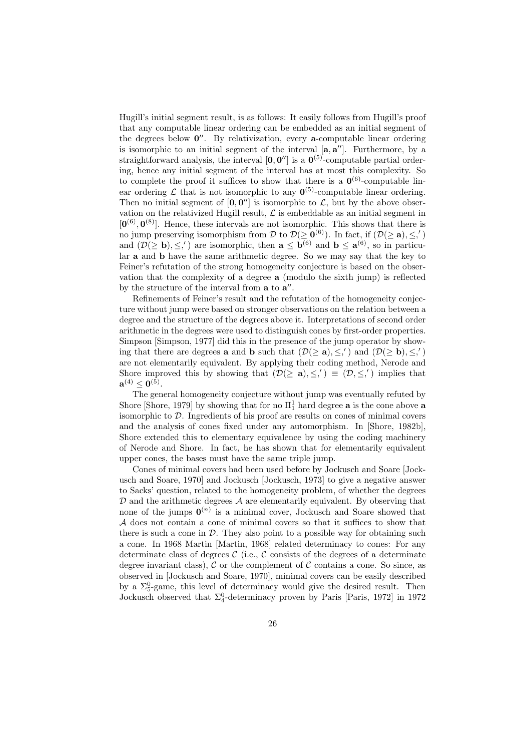Hugill's initial segment result, is as follows: It easily follows from Hugill's proof that any computable linear ordering can be embedded as an initial segment of the degrees below  $0''$ . By relativization, every a-computable linear ordering is isomorphic to an initial segment of the interval  $[a, a'']$ . Furthermore, by a straightforward analysis, the interval  $[0, 0'']$  is a  $0^{(5)}$ -computable partial ordering, hence any initial segment of the interval has at most this complexity. So to complete the proof it suffices to show that there is a  $0^{(6)}$ -computable linear ordering  $\mathcal L$  that is not isomorphic to any  $\mathbf{0}^{(5)}$ -computable linear ordering. Then no initial segment of  $[0, 0'']$  is isomorphic to  $\mathcal{L}$ , but by the above observation on the relativized Hugill result,  $\mathcal{L}$  is embeddable as an initial segment in  $[0^{(6)}, 0^{(8)}]$ . Hence, these intervals are not isomorphic. This shows that there is no jump preserving isomorphism from  $\mathcal{D}$  to  $\mathcal{D}(\geq 0^{(6)})$ . In fact, if  $(\mathcal{D}(\geq a), \leq,')$ and  $(\mathcal{D}(\geq b), \leq,')$  are isomorphic, then  $a \leq b^{(6)}$  and  $b \leq a^{(6)}$ , so in particular a and b have the same arithmetic degree. So we may say that the key to Feiner's refutation of the strong homogeneity conjecture is based on the observation that the complexity of a degree a (modulo the sixth jump) is reflected by the structure of the interval from  $a$  to  $a''$ .

Refinements of Feiner's result and the refutation of the homogeneity conjecture without jump were based on stronger observations on the relation between a degree and the structure of the degrees above it. Interpretations of second order arithmetic in the degrees were used to distinguish cones by first-order properties. Simpson [Simpson, 1977] did this in the presence of the jump operator by showing that there are degrees **a** and **b** such that  $(\mathcal{D}(\geq a), \leq,')$  and  $(\mathcal{D}(\geq b), \leq,')$ are not elementarily equivalent. By applying their coding method, Nerode and Shore improved this by showing that  $(\mathcal{D}(\geq a), \leq,') \equiv (\mathcal{D}, \leq,')$  implies that  $\mathbf{a}^{(4)}\leq\mathbf{0}^{(5)}.$ 

The general homogeneity conjecture without jump was eventually refuted by Shore [Shore, 1979] by showing that for no  $\Pi^1_1$  hard degree **a** is the cone above **a** isomorphic to  $D$ . Ingredients of his proof are results on cones of minimal covers and the analysis of cones fixed under any automorphism. In [Shore, 1982b], Shore extended this to elementary equivalence by using the coding machinery of Nerode and Shore. In fact, he has shown that for elementarily equivalent upper cones, the bases must have the same triple jump.

Cones of minimal covers had been used before by Jockusch and Soare [Jockusch and Soare, 1970] and Jockusch [Jockusch, 1973] to give a negative answer to Sacks' question, related to the homogeneity problem, of whether the degrees  $D$  and the arithmetic degrees  $A$  are elementarily equivalent. By observing that none of the jumps  $\mathbf{0}^{(n)}$  is a minimal cover, Jockusch and Soare showed that A does not contain a cone of minimal covers so that it suffices to show that there is such a cone in  $\mathcal{D}$ . They also point to a possible way for obtaining such a cone. In 1968 Martin [Martin, 1968] related determinacy to cones: For any determinate class of degrees  $\mathcal C$  (i.e.,  $\mathcal C$  consists of the degrees of a determinate degree invariant class),  $\mathcal C$  or the complement of  $\mathcal C$  contains a cone. So since, as observed in [Jockusch and Soare, 1970], minimal covers can be easily described by a  $\Sigma_5^0$ -game, this level of determinacy would give the desired result. Then Jockusch observed that  $\Sigma^0_4$ -determinacy proven by Paris [Paris, 1972] in 1972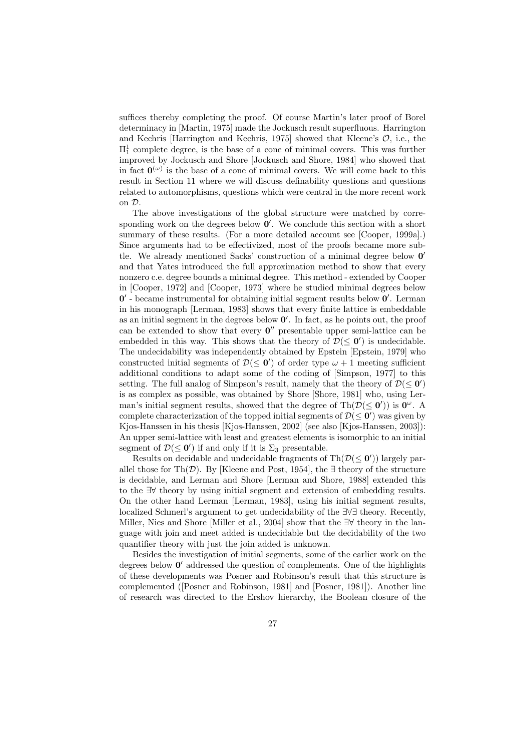suffices thereby completing the proof. Of course Martin's later proof of Borel determinacy in [Martin, 1975] made the Jockusch result superfluous. Harrington and Kechris [Harrington and Kechris, 1975] showed that Kleene's  $\mathcal{O}$ , i.e., the  $\Pi^1_1$  complete degree, is the base of a cone of minimal covers. This was further improved by Jockusch and Shore [Jockusch and Shore, 1984] who showed that in fact  $\mathbf{0}^{(\omega)}$  is the base of a cone of minimal covers. We will come back to this result in Section 11 where we will discuss definability questions and questions related to automorphisms, questions which were central in the more recent work on D.

The above investigations of the global structure were matched by corresponding work on the degrees below  $0'$ . We conclude this section with a short summary of these results. (For a more detailed account see [Cooper, 1999a].) Since arguments had to be effectivized, most of the proofs became more subtle. We already mentioned Sacks' construction of a minimal degree below  $0'$ and that Yates introduced the full approximation method to show that every nonzero c.e. degree bounds a minimal degree. This method - extended by Cooper in [Cooper, 1972] and [Cooper, 1973] where he studied minimal degrees below  $0'$  - became instrumental for obtaining initial segment results below  $0'$ . Lerman in his monograph [Lerman, 1983] shows that every finite lattice is embeddable as an initial segment in the degrees below  $0'$ . In fact, as he points out, the proof can be extended to show that every  $0''$  presentable upper semi-lattice can be embedded in this way. This shows that the theory of  $\mathcal{D}(\leq 0')$  is undecidable. The undecidability was independently obtained by Epstein [Epstein, 1979] who constructed initial segments of  $\mathcal{D}(\leq 0')$  of order type  $\omega + 1$  meeting sufficient additional conditions to adapt some of the coding of [Simpson, 1977] to this setting. The full analog of Simpson's result, namely that the theory of  $\mathcal{D}(\leq 0')$ is as complex as possible, was obtained by Shore [Shore, 1981] who, using Lerman's initial segment results, showed that the degree of  $\text{Th}(\mathcal{D}(\leq 0'))$  is  $0^{\omega}$ . A complete characterization of the topped initial segments of  $\mathcal{D}(\leq 0')$  was given by Kjos-Hanssen in his thesis [Kjos-Hanssen, 2002] (see also [Kjos-Hanssen, 2003]): An upper semi-lattice with least and greatest elements is isomorphic to an initial segment of  $\mathcal{D}(\leq 0')$  if and only if it is  $\Sigma_3$  presentable.

Results on decidable and undecidable fragments of  $\text{Th}(\mathcal{D}(\leq 0'))$  largely parallel those for Th( $\mathcal{D}$ ). By [Kleene and Post, 1954], the ∃ theory of the structure is decidable, and Lerman and Shore [Lerman and Shore, 1988] extended this to the ∃∀ theory by using initial segment and extension of embedding results. On the other hand Lerman [Lerman, 1983], using his initial segment results, localized Schmerl's argument to get undecidability of the ∃∀∃ theory. Recently, Miller, Nies and Shore [Miller et al., 2004] show that the ∃∀ theory in the language with join and meet added is undecidable but the decidability of the two quantifier theory with just the join added is unknown.

Besides the investigation of initial segments, some of the earlier work on the degrees below  $0'$  addressed the question of complements. One of the highlights of these developments was Posner and Robinson's result that this structure is complemented ([Posner and Robinson, 1981] and [Posner, 1981]). Another line of research was directed to the Ershov hierarchy, the Boolean closure of the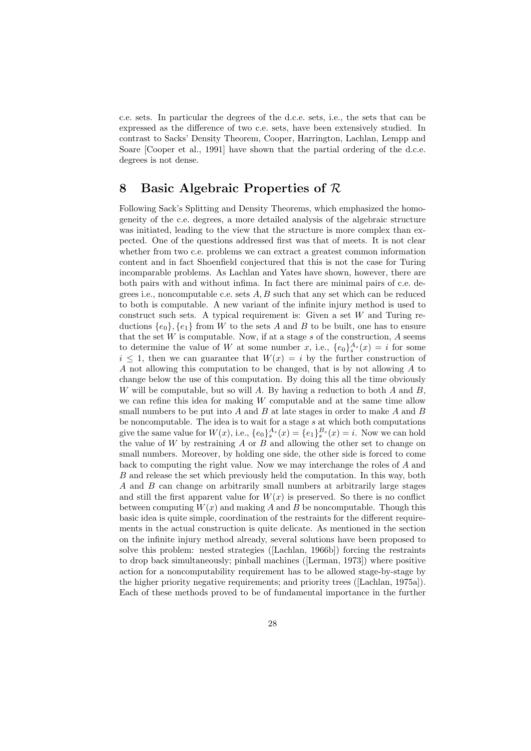c.e. sets. In particular the degrees of the d.c.e. sets, i.e., the sets that can be expressed as the difference of two c.e. sets, have been extensively studied. In contrast to Sacks' Density Theorem, Cooper, Harrington, Lachlan, Lempp and Soare [Cooper et al., 1991] have shown that the partial ordering of the d.c.e. degrees is not dense.

#### 8 Basic Algebraic Properties of R

Following Sack's Splitting and Density Theorems, which emphasized the homogeneity of the c.e. degrees, a more detailed analysis of the algebraic structure was initiated, leading to the view that the structure is more complex than expected. One of the questions addressed first was that of meets. It is not clear whether from two c.e. problems we can extract a greatest common information content and in fact Shoenfield conjectured that this is not the case for Turing incomparable problems. As Lachlan and Yates have shown, however, there are both pairs with and without infima. In fact there are minimal pairs of c.e. degrees i.e., noncomputable c.e. sets  $A, B$  such that any set which can be reduced to both is computable. A new variant of the infinite injury method is used to construct such sets. A typical requirement is: Given a set  $W$  and Turing reductions  ${e_0}, {e_1}$  from W to the sets A and B to be built, one has to ensure that the set  $W$  is computable. Now, if at a stage  $s$  of the construction,  $A$  seems to determine the value of W at some number x, i.e.,  ${e_0}_s^{A_s}(x) = i$  for some  $i \leq 1$ , then we can guarantee that  $W(x) = i$  by the further construction of A not allowing this computation to be changed, that is by not allowing A to change below the use of this computation. By doing this all the time obviously W will be computable, but so will A. By having a reduction to both  $A$  and  $B$ . we can refine this idea for making  $W$  computable and at the same time allow small numbers to be put into  $A$  and  $B$  at late stages in order to make  $A$  and  $B$ be noncomputable. The idea is to wait for a stage  $s$  at which both computations give the same value for  $W(x)$ , i.e.,  $\{e_0\}_s^{A_s}(x) = \{e_1\}_s^{B_s}(x) = i$ . Now we can hold the value of  $W$  by restraining  $A$  or  $B$  and allowing the other set to change on small numbers. Moreover, by holding one side, the other side is forced to come back to computing the right value. Now we may interchange the roles of A and B and release the set which previously held the computation. In this way, both A and B can change on arbitrarily small numbers at arbitrarily large stages and still the first apparent value for  $W(x)$  is preserved. So there is no conflict between computing  $W(x)$  and making A and B be noncomputable. Though this basic idea is quite simple, coordination of the restraints for the different requirements in the actual construction is quite delicate. As mentioned in the section on the infinite injury method already, several solutions have been proposed to solve this problem: nested strategies ([Lachlan, 1966b]) forcing the restraints to drop back simultaneously; pinball machines ([Lerman, 1973]) where positive action for a noncomputability requirement has to be allowed stage-by-stage by the higher priority negative requirements; and priority trees ([Lachlan, 1975a]). Each of these methods proved to be of fundamental importance in the further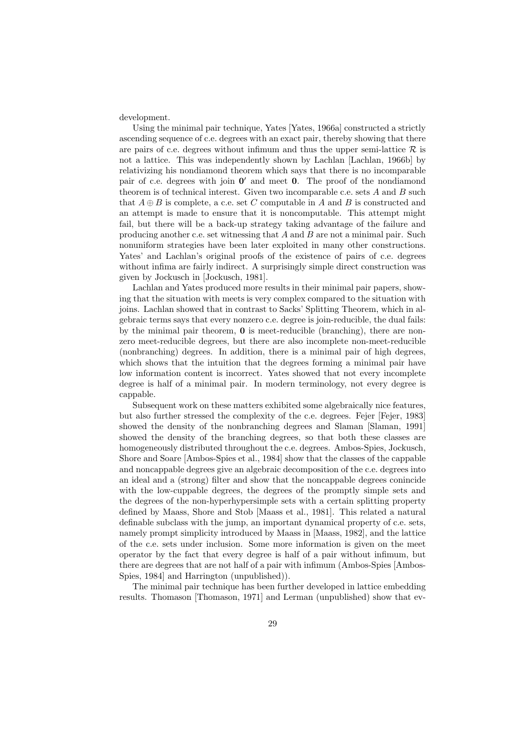development.

Using the minimal pair technique, Yates [Yates, 1966a] constructed a strictly ascending sequence of c.e. degrees with an exact pair, thereby showing that there are pairs of c.e. degrees without infimum and thus the upper semi-lattice  $\mathcal R$  is not a lattice. This was independently shown by Lachlan [Lachlan, 1966b] by relativizing his nondiamond theorem which says that there is no incomparable pair of c.e. degrees with join  $0'$  and meet 0. The proof of the nondiamond theorem is of technical interest. Given two incomparable c.e. sets A and B such that  $A \oplus B$  is complete, a c.e. set C computable in A and B is constructed and an attempt is made to ensure that it is noncomputable. This attempt might fail, but there will be a back-up strategy taking advantage of the failure and producing another c.e. set witnessing that  $A$  and  $B$  are not a minimal pair. Such nonuniform strategies have been later exploited in many other constructions. Yates' and Lachlan's original proofs of the existence of pairs of c.e. degrees without infima are fairly indirect. A surprisingly simple direct construction was given by Jockusch in [Jockusch, 1981].

Lachlan and Yates produced more results in their minimal pair papers, showing that the situation with meets is very complex compared to the situation with joins. Lachlan showed that in contrast to Sacks' Splitting Theorem, which in algebraic terms says that every nonzero c.e. degree is join-reducible, the dual fails: by the minimal pair theorem,  $\bf{0}$  is meet-reducible (branching), there are nonzero meet-reducible degrees, but there are also incomplete non-meet-reducible (nonbranching) degrees. In addition, there is a minimal pair of high degrees, which shows that the intuition that the degrees forming a minimal pair have low information content is incorrect. Yates showed that not every incomplete degree is half of a minimal pair. In modern terminology, not every degree is cappable.

Subsequent work on these matters exhibited some algebraically nice features, but also further stressed the complexity of the c.e. degrees. Fejer [Fejer, 1983] showed the density of the nonbranching degrees and Slaman [Slaman, 1991] showed the density of the branching degrees, so that both these classes are homogeneously distributed throughout the c.e. degrees. Ambos-Spies, Jockusch, Shore and Soare [Ambos-Spies et al., 1984] show that the classes of the cappable and noncappable degrees give an algebraic decomposition of the c.e. degrees into an ideal and a (strong) filter and show that the noncappable degrees conincide with the low-cuppable degrees, the degrees of the promptly simple sets and the degrees of the non-hyperhypersimple sets with a certain splitting property defined by Maass, Shore and Stob [Maass et al., 1981]. This related a natural definable subclass with the jump, an important dynamical property of c.e. sets, namely prompt simplicity introduced by Maass in [Maass, 1982], and the lattice of the c.e. sets under inclusion. Some more information is given on the meet operator by the fact that every degree is half of a pair without infimum, but there are degrees that are not half of a pair with infimum (Ambos-Spies [Ambos-Spies, 1984] and Harrington (unpublished)).

The minimal pair technique has been further developed in lattice embedding results. Thomason [Thomason, 1971] and Lerman (unpublished) show that ev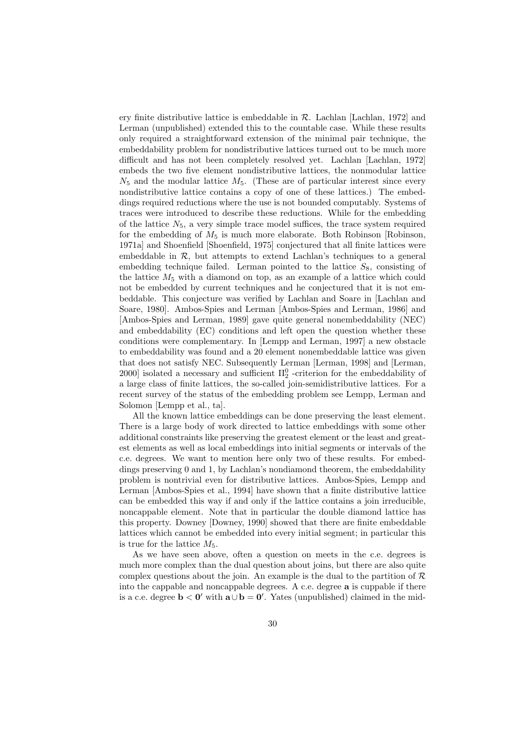ery finite distributive lattice is embeddable in  $\mathcal{R}$ . Lachlan [Lachlan, 1972] and Lerman (unpublished) extended this to the countable case. While these results only required a straightforward extension of the minimal pair technique, the embeddability problem for nondistributive lattices turned out to be much more difficult and has not been completely resolved yet. Lachlan [Lachlan, 1972] embeds the two five element nondistributive lattices, the nonmodular lattice  $N_5$  and the modular lattice  $M_5$ . (These are of particular interest since every nondistributive lattice contains a copy of one of these lattices.) The embeddings required reductions where the use is not bounded computably. Systems of traces were introduced to describe these reductions. While for the embedding of the lattice  $N_5$ , a very simple trace model suffices, the trace system required for the embedding of  $M_5$  is much more elaborate. Both Robinson [Robinson, 1971a] and Shoenfield [Shoenfield, 1975] conjectured that all finite lattices were embeddable in  $R$ , but attempts to extend Lachlan's techniques to a general embedding technique failed. Lerman pointed to the lattice  $S_8$ , consisting of the lattice  $M_5$  with a diamond on top, as an example of a lattice which could not be embedded by current techniques and he conjectured that it is not embeddable. This conjecture was verified by Lachlan and Soare in [Lachlan and Soare, 1980]. Ambos-Spies and Lerman [Ambos-Spies and Lerman, 1986] and [Ambos-Spies and Lerman, 1989] gave quite general nonembeddability (NEC) and embeddability (EC) conditions and left open the question whether these conditions were complementary. In [Lempp and Lerman, 1997] a new obstacle to embeddability was found and a 20 element nonembeddable lattice was given that does not satisfy NEC. Subsequently Lerman [Lerman, 1998] and [Lerman, 2000] isolated a necessary and sufficient  $\Pi_2^0$  -criterion for the embeddability of a large class of finite lattices, the so-called join-semidistributive lattices. For a recent survey of the status of the embedding problem see Lempp, Lerman and Solomon [Lempp et al., ta].

All the known lattice embeddings can be done preserving the least element. There is a large body of work directed to lattice embeddings with some other additional constraints like preserving the greatest element or the least and greatest elements as well as local embeddings into initial segments or intervals of the c.e. degrees. We want to mention here only two of these results. For embeddings preserving 0 and 1, by Lachlan's nondiamond theorem, the embeddability problem is nontrivial even for distributive lattices. Ambos-Spies, Lempp and Lerman [Ambos-Spies et al., 1994] have shown that a finite distributive lattice can be embedded this way if and only if the lattice contains a join irreducible, noncappable element. Note that in particular the double diamond lattice has this property. Downey [Downey, 1990] showed that there are finite embeddable lattices which cannot be embedded into every initial segment; in particular this is true for the lattice  $M_5$ .

As we have seen above, often a question on meets in the c.e. degrees is much more complex than the dual question about joins, but there are also quite complex questions about the join. An example is the dual to the partition of  $\mathcal R$ into the cappable and noncappable degrees. A c.e. degree a is cuppable if there is a c.e. degree  $\mathbf{b} < \mathbf{0}'$  with  $\mathbf{a} \cup \mathbf{b} = \mathbf{0}'$ . Yates (unpublished) claimed in the mid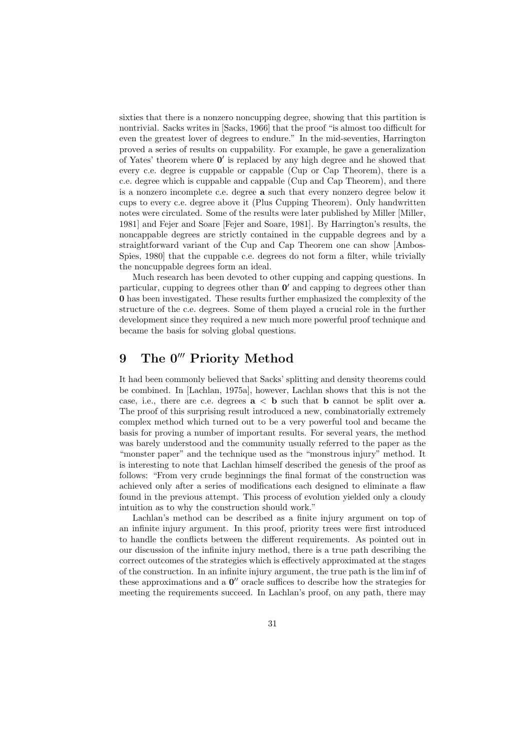sixties that there is a nonzero noncupping degree, showing that this partition is nontrivial. Sacks writes in [Sacks, 1966] that the proof "is almost too difficult for even the greatest lover of degrees to endure." In the mid-seventies, Harrington proved a series of results on cuppability. For example, he gave a generalization of Yates' theorem where  $0'$  is replaced by any high degree and he showed that every c.e. degree is cuppable or cappable (Cup or Cap Theorem), there is a c.e. degree which is cuppable and cappable (Cup and Cap Theorem), and there is a nonzero incomplete c.e. degree a such that every nonzero degree below it cups to every c.e. degree above it (Plus Cupping Theorem). Only handwritten notes were circulated. Some of the results were later published by Miller [Miller, 1981] and Fejer and Soare [Fejer and Soare, 1981]. By Harrington's results, the noncappable degrees are strictly contained in the cuppable degrees and by a straightforward variant of the Cup and Cap Theorem one can show [Ambos-Spies, 1980] that the cuppable c.e. degrees do not form a filter, while trivially the noncuppable degrees form an ideal.

Much research has been devoted to other cupping and capping questions. In particular, cupping to degrees other than  $\mathbf{0}'$  and capping to degrees other than 0 has been investigated. These results further emphasized the complexity of the structure of the c.e. degrees. Some of them played a crucial role in the further development since they required a new much more powerful proof technique and became the basis for solving global questions.

# 9 The 0<sup>'''</sup> Priority Method

It had been commonly believed that Sacks' splitting and density theorems could be combined. In [Lachlan, 1975a], however, Lachlan shows that this is not the case, i.e., there are c.e. degrees  $a < b$  such that b cannot be split over a. The proof of this surprising result introduced a new, combinatorially extremely complex method which turned out to be a very powerful tool and became the basis for proving a number of important results. For several years, the method was barely understood and the community usually referred to the paper as the "monster paper" and the technique used as the "monstrous injury" method. It is interesting to note that Lachlan himself described the genesis of the proof as follows: "From very crude beginnings the final format of the construction was achieved only after a series of modifications each designed to eliminate a flaw found in the previous attempt. This process of evolution yielded only a cloudy intuition as to why the construction should work."

Lachlan's method can be described as a finite injury argument on top of an infinite injury argument. In this proof, priority trees were first introduced to handle the conflicts between the different requirements. As pointed out in our discussion of the infinite injury method, there is a true path describing the correct outcomes of the strategies which is effectively approximated at the stages of the construction. In an infinite injury argument, the true path is the lim inf of these approximations and a  $0''$  oracle suffices to describe how the strategies for meeting the requirements succeed. In Lachlan's proof, on any path, there may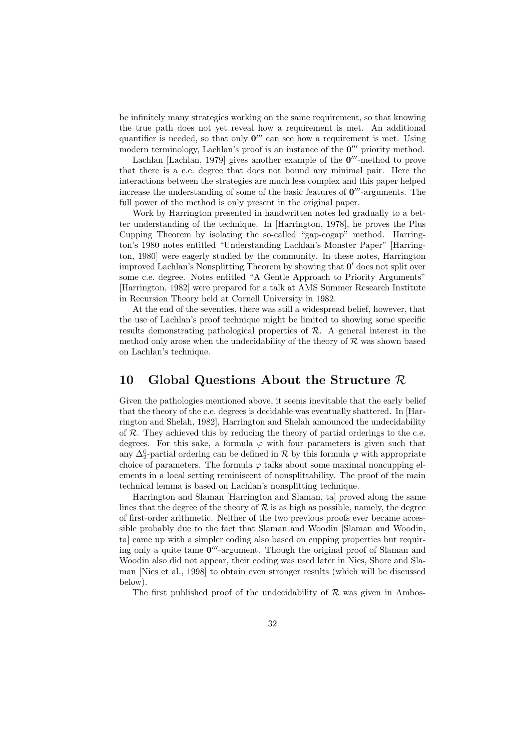be infinitely many strategies working on the same requirement, so that knowing the true path does not yet reveal how a requirement is met. An additional quantifier is needed, so that only  $0^{\prime\prime\prime}$  can see how a requirement is met. Using modern terminology, Lachlan's proof is an instance of the  $0'''$  priority method.

Lachlan [Lachlan, 1979] gives another example of the  $0''$ -method to prove that there is a c.e. degree that does not bound any minimal pair. Here the interactions between the strategies are much less complex and this paper helped increase the understanding of some of the basic features of  $0^{\prime\prime\prime}$ -arguments. The full power of the method is only present in the original paper.

Work by Harrington presented in handwritten notes led gradually to a better understanding of the technique. In [Harrington, 1978], he proves the Plus Cupping Theorem by isolating the so-called "gap-cogap" method. Harrington's 1980 notes entitled "Understanding Lachlan's Monster Paper" [Harrington, 1980] were eagerly studied by the community. In these notes, Harrington improved Lachlan's Nonsplitting Theorem by showing that  $0'$  does not split over some c.e. degree. Notes entitled "A Gentle Approach to Priority Arguments" [Harrington, 1982] were prepared for a talk at AMS Summer Research Institute in Recursion Theory held at Cornell University in 1982.

At the end of the seventies, there was still a widespread belief, however, that the use of Lachlan's proof technique might be limited to showing some specific results demonstrating pathological properties of  $R$ . A general interest in the method only arose when the undecidability of the theory of  $R$  was shown based on Lachlan's technique.

### 10 Global Questions About the Structure  $\mathcal R$

Given the pathologies mentioned above, it seems inevitable that the early belief that the theory of the c.e. degrees is decidable was eventually shattered. In [Harrington and Shelah, 1982], Harrington and Shelah announced the undecidability of  $R$ . They achieved this by reducing the theory of partial orderings to the c.e. degrees. For this sake, a formula  $\varphi$  with four parameters is given such that any  $\Delta_2^0$ -partial ordering can be defined in  $\mathcal R$  by this formula  $\varphi$  with appropriate choice of parameters. The formula  $\varphi$  talks about some maximal noncupping elements in a local setting reminiscent of nonsplittability. The proof of the main technical lemma is based on Lachlan's nonsplitting technique.

Harrington and Slaman [Harrington and Slaman, ta] proved along the same lines that the degree of the theory of  $\mathcal R$  is as high as possible, namely, the degree of first-order arithmetic. Neither of the two previous proofs ever became accessible probably due to the fact that Slaman and Woodin [Slaman and Woodin, ta] came up with a simpler coding also based on cupping properties but requiring only a quite tame  $0^{\prime\prime\prime}$ -argument. Though the original proof of Slaman and Woodin also did not appear, their coding was used later in Nies, Shore and Slaman [Nies et al., 1998] to obtain even stronger results (which will be discussed below).

The first published proof of the undecidability of  $\mathcal R$  was given in Ambos-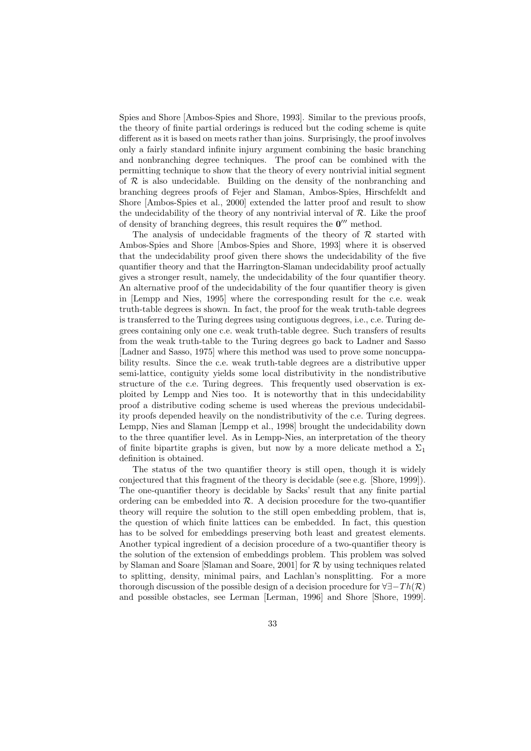Spies and Shore [Ambos-Spies and Shore, 1993]. Similar to the previous proofs, the theory of finite partial orderings is reduced but the coding scheme is quite different as it is based on meets rather than joins. Surprisingly, the proof involves only a fairly standard infinite injury argument combining the basic branching and nonbranching degree techniques. The proof can be combined with the permitting technique to show that the theory of every nontrivial initial segment of  $\mathcal R$  is also undecidable. Building on the density of the nonbranching and branching degrees proofs of Fejer and Slaman, Ambos-Spies, Hirschfeldt and Shore [Ambos-Spies et al., 2000] extended the latter proof and result to show the undecidability of the theory of any nontrivial interval of  $\mathcal R$ . Like the proof of density of branching degrees, this result requires the  $0'''$  method.

The analysis of undecidable fragments of the theory of  $R$  started with Ambos-Spies and Shore [Ambos-Spies and Shore, 1993] where it is observed that the undecidability proof given there shows the undecidability of the five quantifier theory and that the Harrington-Slaman undecidability proof actually gives a stronger result, namely, the undecidability of the four quantifier theory. An alternative proof of the undecidability of the four quantifier theory is given in [Lempp and Nies, 1995] where the corresponding result for the c.e. weak truth-table degrees is shown. In fact, the proof for the weak truth-table degrees is transferred to the Turing degrees using contiguous degrees, i.e., c.e. Turing degrees containing only one c.e. weak truth-table degree. Such transfers of results from the weak truth-table to the Turing degrees go back to Ladner and Sasso [Ladner and Sasso, 1975] where this method was used to prove some noncuppability results. Since the c.e. weak truth-table degrees are a distributive upper semi-lattice, contiguity yields some local distributivity in the nondistributive structure of the c.e. Turing degrees. This frequently used observation is exploited by Lempp and Nies too. It is noteworthy that in this undecidability proof a distributive coding scheme is used whereas the previous undecidability proofs depended heavily on the nondistributivity of the c.e. Turing degrees. Lempp, Nies and Slaman [Lempp et al., 1998] brought the undecidability down to the three quantifier level. As in Lempp-Nies, an interpretation of the theory of finite bipartite graphs is given, but now by a more delicate method a  $\Sigma_1$ definition is obtained.

The status of the two quantifier theory is still open, though it is widely conjectured that this fragment of the theory is decidable (see e.g. [Shore, 1999]). The one-quantifier theory is decidable by Sacks' result that any finite partial ordering can be embedded into  $R$ . A decision procedure for the two-quantifier theory will require the solution to the still open embedding problem, that is, the question of which finite lattices can be embedded. In fact, this question has to be solved for embeddings preserving both least and greatest elements. Another typical ingredient of a decision procedure of a two-quantifier theory is the solution of the extension of embeddings problem. This problem was solved by Slaman and Soare [Slaman and Soare, 2001] for  $\mathcal R$  by using techniques related to splitting, density, minimal pairs, and Lachlan's nonsplitting. For a more thorough discussion of the possible design of a decision procedure for  $\forall \exists -Th(\mathcal{R})$ and possible obstacles, see Lerman [Lerman, 1996] and Shore [Shore, 1999].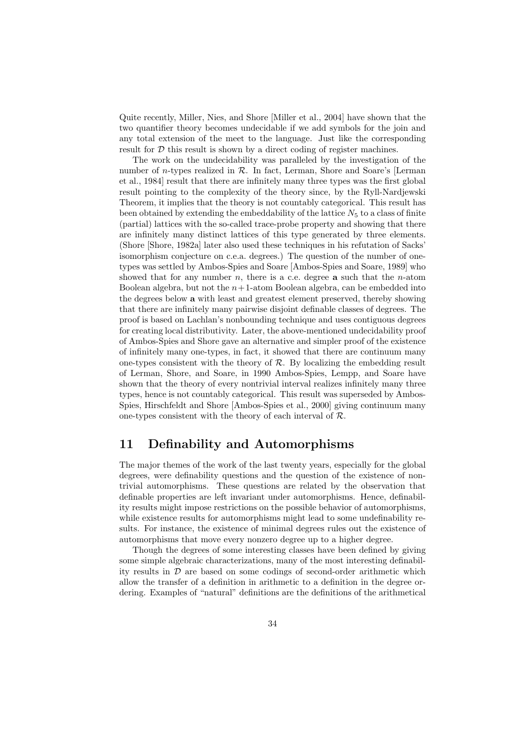Quite recently, Miller, Nies, and Shore [Miller et al., 2004] have shown that the two quantifier theory becomes undecidable if we add symbols for the join and any total extension of the meet to the language. Just like the corresponding result for D this result is shown by a direct coding of register machines.

The work on the undecidability was paralleled by the investigation of the number of *n*-types realized in  $R$ . In fact, Lerman, Shore and Soare's [Lerman et al., 1984] result that there are infinitely many three types was the first global result pointing to the complexity of the theory since, by the Ryll-Nardjewski Theorem, it implies that the theory is not countably categorical. This result has been obtained by extending the embeddability of the lattice  $N<sub>5</sub>$  to a class of finite (partial) lattices with the so-called trace-probe property and showing that there are infinitely many distinct lattices of this type generated by three elements. (Shore [Shore, 1982a] later also used these techniques in his refutation of Sacks' isomorphism conjecture on c.e.a. degrees.) The question of the number of onetypes was settled by Ambos-Spies and Soare [Ambos-Spies and Soare, 1989] who showed that for any number  $n$ , there is a c.e. degree **a** such that the *n*-atom Boolean algebra, but not the  $n+1$ -atom Boolean algebra, can be embedded into the degrees below a with least and greatest element preserved, thereby showing that there are infinitely many pairwise disjoint definable classes of degrees. The proof is based on Lachlan's nonbounding technique and uses contiguous degrees for creating local distributivity. Later, the above-mentioned undecidability proof of Ambos-Spies and Shore gave an alternative and simpler proof of the existence of infinitely many one-types, in fact, it showed that there are continuum many one-types consistent with the theory of  $\mathcal{R}$ . By localizing the embedding result of Lerman, Shore, and Soare, in 1990 Ambos-Spies, Lempp, and Soare have shown that the theory of every nontrivial interval realizes infinitely many three types, hence is not countably categorical. This result was superseded by Ambos-Spies, Hirschfeldt and Shore [Ambos-Spies et al., 2000] giving continuum many one-types consistent with the theory of each interval of  $\mathcal{R}$ .

### 11 Definability and Automorphisms

The major themes of the work of the last twenty years, especially for the global degrees, were definability questions and the question of the existence of nontrivial automorphisms. These questions are related by the observation that definable properties are left invariant under automorphisms. Hence, definability results might impose restrictions on the possible behavior of automorphisms, while existence results for automorphisms might lead to some undefinability results. For instance, the existence of minimal degrees rules out the existence of automorphisms that move every nonzero degree up to a higher degree.

Though the degrees of some interesting classes have been defined by giving some simple algebraic characterizations, many of the most interesting definability results in  $\mathcal D$  are based on some codings of second-order arithmetic which allow the transfer of a definition in arithmetic to a definition in the degree ordering. Examples of "natural" definitions are the definitions of the arithmetical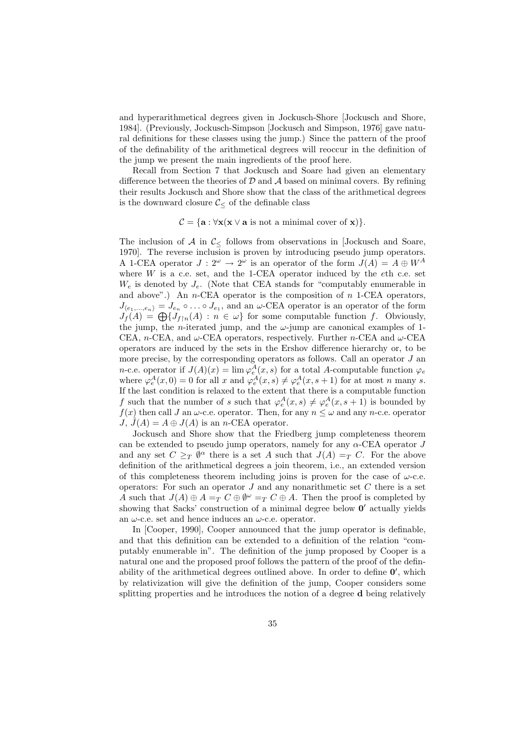and hyperarithmetical degrees given in Jockusch-Shore [Jockusch and Shore, 1984]. (Previously, Jockusch-Simpson [Jockusch and Simpson, 1976] gave natural definitions for these classes using the jump.) Since the pattern of the proof of the definability of the arithmetical degrees will reoccur in the definition of the jump we present the main ingredients of the proof here.

Recall from Section 7 that Jockusch and Soare had given an elementary difference between the theories of  $D$  and  $A$  based on minimal covers. By refining their results Jockusch and Shore show that the class of the arithmetical degrees is the downward closure  $C<sub>5</sub>$  of the definable class

#### $C = {\mathbf{a} : \forall \mathbf{x} (\mathbf{x} \vee \mathbf{a} \text{ is not a minimal cover of } \mathbf{x})}.$

The inclusion of  $A$  in  $C<$  follows from observations in [Jockusch and Soare, 1970]. The reverse inclusion is proven by introducing pseudo jump operators. A 1-CEA operator  $J: 2^{\omega} \to 2^{\omega}$  is an operator of the form  $J(A) = A \oplus W^A$ where  $W$  is a c.e. set, and the 1-CEA operator induced by the  $e$ th c.e. set  $W_e$  is denoted by  $J_e$ . (Note that CEA stands for "computably enumerable in and above".) An  $n$ -CEA operator is the composition of  $n$  1-CEA operators,  $J_{\langle e_1,...,e_n \rangle} = J_{e_n} \circ ... \circ J_{e_1}$ , and an  $\omega$ -CEA operator is an operator of the form  $J_f(A) = \bigoplus \{J_{f|n}(A) : n \in \omega\}$  for some computable function f. Obviously, the jump, the *n*-iterated jump, and the  $\omega$ -jump are canonical examples of 1-CEA,  $n$ -CEA, and  $\omega$ -CEA operators, respectively. Further  $n$ -CEA and  $\omega$ -CEA operators are induced by the sets in the Ershov difference hierarchy or, to be more precise, by the corresponding operators as follows. Call an operator J an *n*-c.e. operator if  $J(A)(x) = \lim \varphi_e^A(x, s)$  for a total A-computable function  $\varphi_e$ where  $\varphi_e^A(x,0) = 0$  for all x and  $\varphi_e^A(x,s) \neq \varphi_e^A(x,s+1)$  for at most n many s. If the last condition is relaxed to the extent that there is a computable function f such that the number of s such that  $\varphi_e^A(x, s) \neq \varphi_e^A(x, s + 1)$  is bounded by  $f(x)$  then call J an  $\omega$ -c.e. operator. Then, for any  $n \leq \omega$  and any n-c.e. operator  $J, \tilde{J}(A) = A \oplus J(A)$  is an *n*-CEA operator.

Jockusch and Shore show that the Friedberg jump completeness theorem can be extended to pseudo jump operators, namely for any  $\alpha$ -CEA operator J and any set  $C \geq_T \emptyset^{\alpha}$  there is a set A such that  $J(A) =_T C$ . For the above definition of the arithmetical degrees a join theorem, i.e., an extended version of this completeness theorem including joins is proven for the case of  $\omega$ -c.e. operators: For such an operator  $J$  and any nonarithmetic set  $C$  there is a set A such that  $J(A) \oplus A =_T C \oplus \emptyset^{\omega} =_T C \oplus A$ . Then the proof is completed by showing that Sacks' construction of a minimal degree below  $0'$  actually yields an  $\omega$ -c.e. set and hence induces an  $\omega$ -c.e. operator.

In [Cooper, 1990], Cooper announced that the jump operator is definable, and that this definition can be extended to a definition of the relation "computably enumerable in". The definition of the jump proposed by Cooper is a natural one and the proposed proof follows the pattern of the proof of the definability of the arithmetical degrees outlined above. In order to define  $0'$ , which by relativization will give the definition of the jump, Cooper considers some splitting properties and he introduces the notion of a degree d being relatively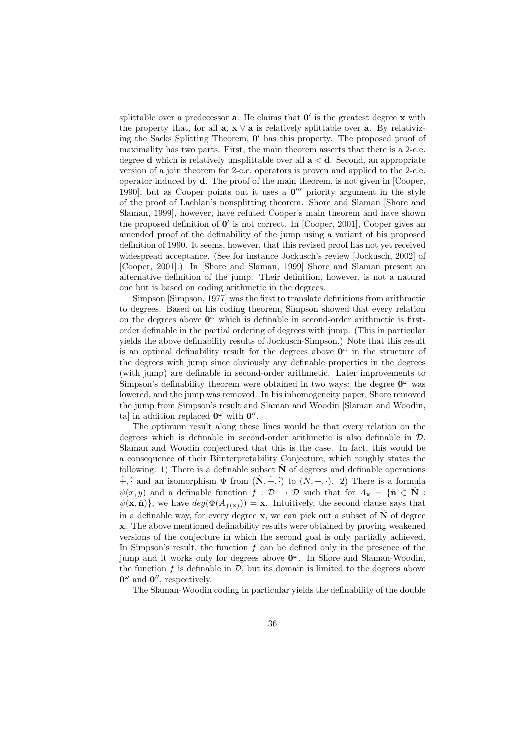splittable over a predecessor  $\bf{a}$ . He claims that  $\bf{0}'$  is the greatest degree  $\bf{x}$  with the property that, for all  $\mathbf{a}, \mathbf{x} \vee \mathbf{a}$  is relatively splittable over  $\mathbf{a}$ . By relativizing the Sacks Splitting Theorem,  $0'$  has this property. The proposed proof of maximality has two parts. First, the main theorem asserts that there is a 2-c.e. degree **d** which is relatively unsplittable over all  $a < d$ . Second, an appropriate version of a join theorem for 2-c.e. operators is proven and applied to the 2-c.e. operator induced by d. The proof of the main theorem, is not given in [Cooper, 1990], but as Cooper points out it uses a  $0'''$  priority argument in the style of the proof of Lachlan's nonsplitting theorem. Shore and Slaman [Shore and Slaman, 1999], however, have refuted Cooper's main theorem and have shown the proposed definition of  $0'$  is not correct. In [Cooper, 2001], Cooper gives an amended proof of the definability of the jump using a variant of his proposed definition of 1990. It seems, however, that this revised proof has not yet received widespread acceptance. (See for instance Jockusch's review [Jockusch, 2002] of [Cooper, 2001].) In [Shore and Slaman, 1999] Shore and Slaman present an alternative definition of the jump. Their definition, however, is not a natural one but is based on coding arithmetic in the degrees.

Simpson [Simpson, 1977] was the first to translate definitions from arithmetic to degrees. Based on his coding theorem, Simpson showed that every relation on the degrees above  $0^{\omega}$  which is definable in second-order arithmetic is firstorder definable in the partial ordering of degrees with jump. (This in particular yields the above definability results of Jockusch-Simpson.) Note that this result is an optimal definability result for the degrees above  $0^{\omega}$  in the structure of the degrees with jump since obviously any definable properties in the degrees (with jump) are definable in second-order arithmetic. Later improvements to Simpson's definability theorem were obtained in two ways: the degree  $0^{\omega}$  was lowered, and the jump was removed. In his inhomogeneity paper, Shore removed the jump from Simpson's result and Slaman and Woodin [Slaman and Woodin, ta in addition replaced  $0^{\omega}$  with  $0''$ .

The optimum result along these lines would be that every relation on the degrees which is definable in second-order arithmetic is also definable in D. Slaman and Woodin conjectured that this is the case. In fact, this would be a consequence of their Biinterpretability Conjecture, which roughly states the following: 1) There is a definable subset  $\hat{N}$  of degrees and definable operations  $\hat{+}, \hat{\cdot}$  and an isomorphism  $\Phi$  from  $(\hat{N}, \hat{+}, \hat{\cdot})$  to  $(N, +, \cdot)$ . 2) There is a formula  $\psi(x, y)$  and a definable function  $f : \mathcal{D} \to \mathcal{D}$  such that for  $A_x = \{ \hat{\mathbf{n}} \in \tilde{\mathbf{N}} \, : \, \nabla$  $\psi(\mathbf{x}, \hat{\mathbf{n}})$ , we have  $deg(\Phi(A_{f(\mathbf{x})})) = \mathbf{x}$ . Intuitively, the second clause says that in a definable way, for every degree  $x$ , we can pick out a subset of  $\tilde{N}$  of degree x. The above mentioned definability results were obtained by proving weakened versions of the conjecture in which the second goal is only partially achieved. In Simpson's result, the function  $f$  can be defined only in the presence of the jump and it works only for degrees above  $0^\omega$ . In Shore and Slaman-Woodin, the function f is definable in  $\mathcal{D}$ , but its domain is limited to the degrees above  $0^{\omega}$  and  $0^{\prime\prime}$ , respectively.

The Slaman-Woodin coding in particular yields the definability of the double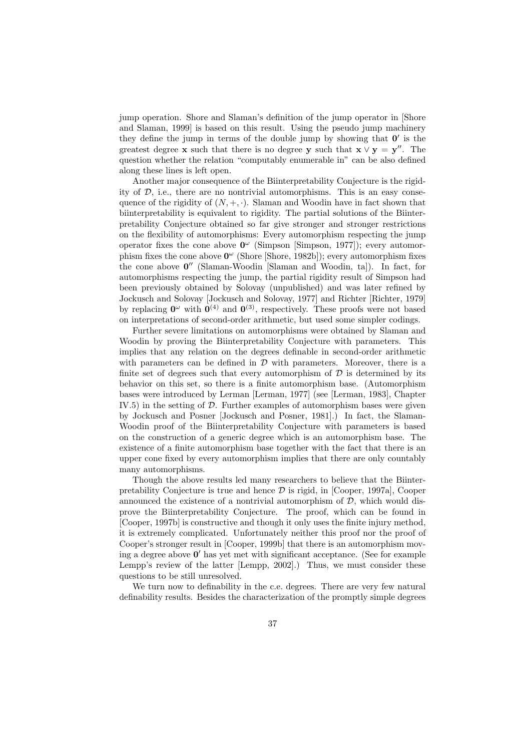jump operation. Shore and Slaman's definition of the jump operator in [Shore and Slaman, 1999] is based on this result. Using the pseudo jump machinery they define the jump in terms of the double jump by showing that  $0'$  is the greatest degree **x** such that there is no degree **y** such that  $\mathbf{x} \vee \mathbf{y} = \mathbf{y}''$ . The question whether the relation "computably enumerable in" can be also defined along these lines is left open.

Another major consequence of the Biinterpretability Conjecture is the rigidity of  $\mathcal{D}$ , i.e., there are no nontrivial automorphisms. This is an easy consequence of the rigidity of  $(N, +, \cdot)$ . Slaman and Woodin have in fact shown that biinterpretability is equivalent to rigidity. The partial solutions of the Biinterpretability Conjecture obtained so far give stronger and stronger restrictions on the flexibility of automorphisms: Every automorphism respecting the jump operator fixes the cone above  $0^{\omega}$  (Simpson [Simpson, 1977]); every automorphism fixes the cone above  $0^{\omega}$  (Shore [Shore, 1982b]); every automorphism fixes the cone above  $0''$  (Slaman-Woodin [Slaman and Woodin, ta]). In fact, for automorphisms respecting the jump, the partial rigidity result of Simpson had been previously obtained by Solovay (unpublished) and was later refined by Jockusch and Solovay [Jockusch and Solovay, 1977] and Richter [Richter, 1979] by replacing  $\mathbf{0}^{\omega}$  with  $\mathbf{0}^{(4)}$  and  $\mathbf{0}^{(3)}$ , respectively. These proofs were not based on interpretations of second-order arithmetic, but used some simpler codings.

Further severe limitations on automorphisms were obtained by Slaman and Woodin by proving the Biinterpretability Conjecture with parameters. This implies that any relation on the degrees definable in second-order arithmetic with parameters can be defined in  $\mathcal D$  with parameters. Moreover, there is a finite set of degrees such that every automorphism of  $\mathcal D$  is determined by its behavior on this set, so there is a finite automorphism base. (Automorphism bases were introduced by Lerman [Lerman, 1977] (see [Lerman, 1983], Chapter IV.5) in the setting of D. Further examples of automorphism bases were given by Jockusch and Posner [Jockusch and Posner, 1981].) In fact, the Slaman-Woodin proof of the Biinterpretability Conjecture with parameters is based on the construction of a generic degree which is an automorphism base. The existence of a finite automorphism base together with the fact that there is an upper cone fixed by every automorphism implies that there are only countably many automorphisms.

Though the above results led many researchers to believe that the Biinterpretability Conjecture is true and hence  $\mathcal D$  is rigid, in [Cooper, 1997a], Cooper announced the existence of a nontrivial automorphism of  $D$ , which would disprove the Biinterpretability Conjecture. The proof, which can be found in [Cooper, 1997b] is constructive and though it only uses the finite injury method, it is extremely complicated. Unfortunately neither this proof nor the proof of Cooper's stronger result in [Cooper, 1999b] that there is an automorphism moving a degree above  $0'$  has yet met with significant acceptance. (See for example Lempp's review of the latter [Lempp, 2002].) Thus, we must consider these questions to be still unresolved.

We turn now to definability in the c.e. degrees. There are very few natural definability results. Besides the characterization of the promptly simple degrees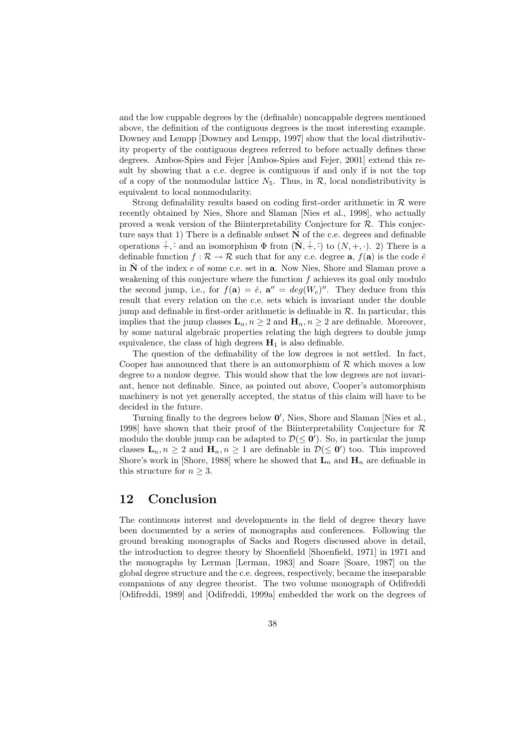and the low cuppable degrees by the (definable) noncappable degrees mentioned above, the definition of the contiguous degrees is the most interesting example. Downey and Lempp [Downey and Lempp, 1997] show that the local distributivity property of the contiguous degrees referred to before actually defines these degrees. Ambos-Spies and Fejer [Ambos-Spies and Fejer, 2001] extend this result by showing that a c.e. degree is contiguous if and only if is not the top of a copy of the nonmodular lattice  $N_5$ . Thus, in  $\mathcal{R}$ , local nondistributivity is equivalent to local nonmodularity.

Strong definability results based on coding first-order arithmetic in  $\mathcal{R}$  were recently obtained by Nies, Shore and Slaman [Nies et al., 1998], who actually proved a weak version of the Biinterpretability Conjecture for  $R$ . This conjecture says that 1) There is a definable subset  $\tilde{N}$  of the c.e. degrees and definable operations  $\hat{+}$ , $\hat{\cdot}$  and an isomorphism  $\Phi$  from  $(\hat{\mathbf{N}}, \hat{+}, \hat{\cdot})$  to  $(N, +, \cdot)$ . 2) There is a definable function  $f : \mathcal{R} \to \mathcal{R}$  such that for any c.e. degree **a**,  $f(\mathbf{a})$  is the code  $\hat{e}$ in  $\hat{N}$  of the index e of some c.e. set in **a**. Now Nies, Shore and Slaman prove a weakening of this conjecture where the function f achieves its goal only modulo the second jump, i.e., for  $f(\mathbf{a}) = \hat{e}$ ,  $\mathbf{a}'' = deg(W_e)''$ . They deduce from this result that every relation on the c.e. sets which is invariant under the double jump and definable in first-order arithmetic is definable in  $R$ . In particular, this implies that the jump classes  $\mathbf{L}_n, n \geq 2$  and  $\mathbf{H}_n, n \geq 2$  are definable. Moreover, by some natural algebraic properties relating the high degrees to double jump equivalence, the class of high degrees  $H_1$  is also definable.

The question of the definability of the low degrees is not settled. In fact, Cooper has announced that there is an automorphism of  $R$  which moves a low degree to a nonlow degree. This would show that the low degrees are not invariant, hence not definable. Since, as pointed out above, Cooper's automorphism machinery is not yet generally accepted, the status of this claim will have to be decided in the future.

Turning finally to the degrees below  $0'$ , Nies, Shore and Slaman [Nies et al., 1998] have shown that their proof of the Biinterpretability Conjecture for  $\mathcal R$ modulo the double jump can be adapted to  $\mathcal{D}(\leq 0')$ . So, in particular the jump classes  $\mathbf{L}_n, n \geq 2$  and  $\mathbf{H}_n, n \geq 1$  are definable in  $\mathcal{D}(\leq 0')$  too. This improved Shore's work in [Shore, 1988] where he showed that  $\mathbf{L}_n$  and  $\mathbf{H}_n$  are definable in this structure for  $n \geq 3$ .

### 12 Conclusion

The continuous interest and developments in the field of degree theory have been documented by a series of monographs and conferences. Following the ground breaking monographs of Sacks and Rogers discussed above in detail, the introduction to degree theory by Shoenfield [Shoenfield, 1971] in 1971 and the monographs by Lerman [Lerman, 1983] and Soare [Soare, 1987] on the global degree structure and the c.e. degrees, respectively, became the inseparable companions of any degree theorist. The two volume monograph of Odifreddi [Odifreddi, 1989] and [Odifreddi, 1999a] embedded the work on the degrees of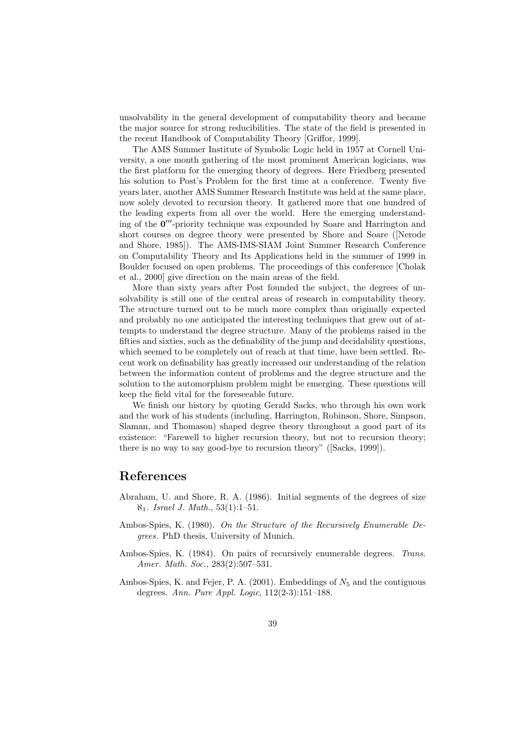unsolvability in the general development of computability theory and became the major source for strong reducibilities. The state of the field is presented in the recent Handbook of Computability Theory [Griffor, 1999].

The AMS Summer Institute of Symbolic Logic held in 1957 at Cornell University, a one month gathering of the most prominent American logicians, was the first platform for the emerging theory of degrees. Here Friedberg presented his solution to Post's Problem for the first time at a conference. Twenty five years later, another AMS Summer Research Institute was held at the same place, now solely devoted to recursion theory. It gathered more that one hundred of the leading experts from all over the world. Here the emerging understanding of the  $0'''$ -priority technique was expounded by Soare and Harrington and short courses on degree theory were presented by Shore and Soare ([Nerode and Shore, 1985]). The AMS-IMS-SIAM Joint Summer Research Conference on Computability Theory and Its Applications held in the summer of 1999 in Boulder focused on open problems. The proceedings of this conference [Cholak et al., 2000] give direction on the main areas of the field.

More than sixty years after Post founded the subject, the degrees of unsolvability is still one of the central areas of research in computability theory. The structure turned out to be much more complex than originally expected and probably no one anticipated the interesting techniques that grew out of attempts to understand the degree structure. Many of the problems raised in the fifties and sixties, such as the definability of the jump and decidability questions, which seemed to be completely out of reach at that time, have been settled. Recent work on definability has greatly increased our understanding of the relation between the information content of problems and the degree structure and the solution to the automorphism problem might be emerging. These questions will keep the field vital for the foreseeable future.

We finish our history by quoting Gerald Sacks, who through his own work and the work of his students (including, Harrington, Robinson, Shore, Simpson, Slaman, and Thomason) shaped degree theory throughout a good part of its existence: "Farewell to higher recursion theory, but not to recursion theory; there is no way to say good-bye to recursion theory" ([Sacks, 1999]).

#### References

- Abraham, U. and Shore, R. A. (1986). Initial segments of the degrees of size  $\aleph_1$ . Israel J. Math., 53(1):1–51.
- Ambos-Spies, K. (1980). On the Structure of the Recursively Enumerable Degrees. PhD thesis, University of Munich.
- Ambos-Spies, K. (1984). On pairs of recursively enumerable degrees. Trans. Amer. Math. Soc., 283(2):507–531.
- Ambos-Spies, K. and Fejer, P. A.  $(2001)$ . Embeddings of  $N_5$  and the contiguous degrees. Ann. Pure Appl. Logic, 112(2-3):151–188.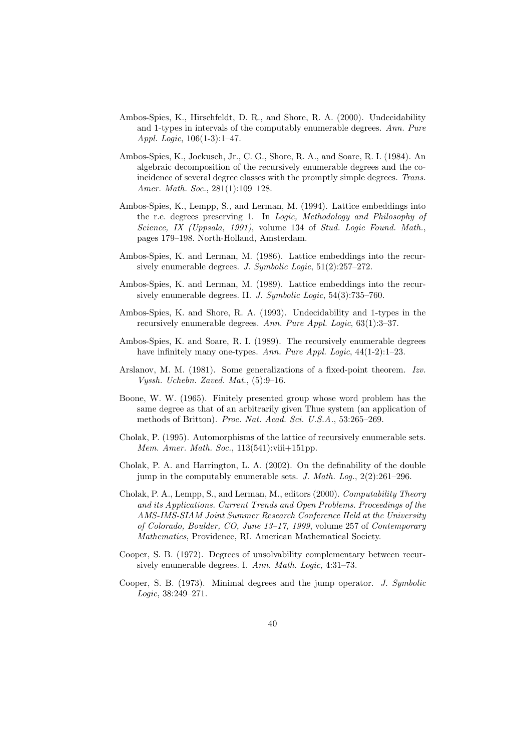- Ambos-Spies, K., Hirschfeldt, D. R., and Shore, R. A. (2000). Undecidability and 1-types in intervals of the computably enumerable degrees. Ann. Pure Appl. Logic, 106(1-3):1–47.
- Ambos-Spies, K., Jockusch, Jr., C. G., Shore, R. A., and Soare, R. I. (1984). An algebraic decomposition of the recursively enumerable degrees and the coincidence of several degree classes with the promptly simple degrees. Trans. Amer. Math. Soc., 281(1):109–128.
- Ambos-Spies, K., Lempp, S., and Lerman, M. (1994). Lattice embeddings into the r.e. degrees preserving 1. In Logic, Methodology and Philosophy of Science, IX (Uppsala, 1991), volume 134 of Stud. Logic Found. Math., pages 179–198. North-Holland, Amsterdam.
- Ambos-Spies, K. and Lerman, M. (1986). Lattice embeddings into the recursively enumerable degrees. J. Symbolic Logic, 51(2):257–272.
- Ambos-Spies, K. and Lerman, M. (1989). Lattice embeddings into the recursively enumerable degrees. II. J. Symbolic Logic, 54(3):735–760.
- Ambos-Spies, K. and Shore, R. A. (1993). Undecidability and 1-types in the recursively enumerable degrees. Ann. Pure Appl. Logic, 63(1):3–37.
- Ambos-Spies, K. and Soare, R. I. (1989). The recursively enumerable degrees have infinitely many one-types. Ann. Pure Appl. Logic, 44(1-2):1–23.
- Arslanov, M. M. (1981). Some generalizations of a fixed-point theorem. Izv. Vyssh. Uchebn. Zaved. Mat.,  $(5):9-16$ .
- Boone, W. W. (1965). Finitely presented group whose word problem has the same degree as that of an arbitrarily given Thue system (an application of methods of Britton). Proc. Nat. Acad. Sci. U.S.A., 53:265–269.
- Cholak, P. (1995). Automorphisms of the lattice of recursively enumerable sets. Mem. Amer. Math. Soc.,  $113(541)$ :viii+151pp.
- Cholak, P. A. and Harrington, L. A. (2002). On the definability of the double jump in the computably enumerable sets. J. Math. Log., 2(2):261–296.
- Cholak, P. A., Lempp, S., and Lerman, M., editors (2000). Computability Theory and its Applications. Current Trends and Open Problems. Proceedings of the AMS-IMS-SIAM Joint Summer Research Conference Held at the University of Colorado, Boulder, CO, June 13–17, 1999, volume 257 of Contemporary Mathematics, Providence, RI. American Mathematical Society.
- Cooper, S. B. (1972). Degrees of unsolvability complementary between recursively enumerable degrees. I. Ann. Math. Logic, 4:31–73.
- Cooper, S. B. (1973). Minimal degrees and the jump operator. J. Symbolic Logic, 38:249–271.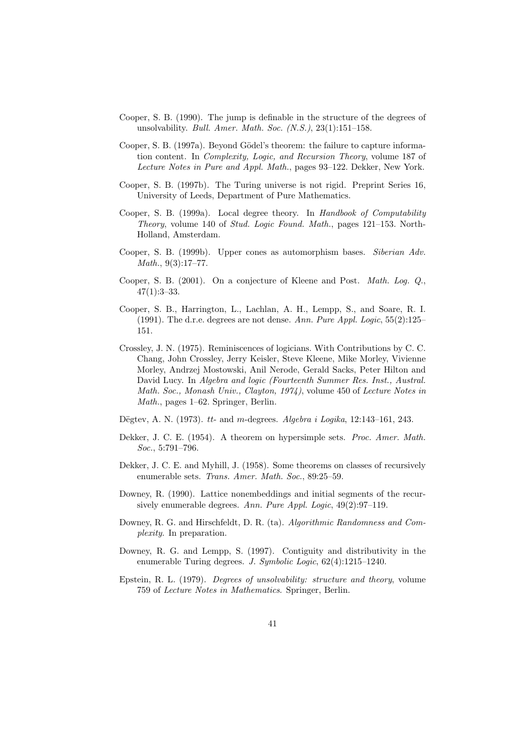- Cooper, S. B. (1990). The jump is definable in the structure of the degrees of unsolvability. Bull. Amer. Math. Soc. (N.S.), 23(1):151–158.
- Cooper, S. B. (1997a). Beyond Gödel's theorem: the failure to capture information content. In Complexity, Logic, and Recursion Theory, volume 187 of Lecture Notes in Pure and Appl. Math., pages 93–122. Dekker, New York.
- Cooper, S. B. (1997b). The Turing universe is not rigid. Preprint Series 16, University of Leeds, Department of Pure Mathematics.
- Cooper, S. B. (1999a). Local degree theory. In Handbook of Computability Theory, volume 140 of Stud. Logic Found. Math., pages 121–153. North-Holland, Amsterdam.
- Cooper, S. B. (1999b). Upper cones as automorphism bases. Siberian Adv. Math., 9(3):17–77.
- Cooper, S. B. (2001). On a conjecture of Kleene and Post. *Math. Log. Q.*,  $47(1):3-33.$
- Cooper, S. B., Harrington, L., Lachlan, A. H., Lempp, S., and Soare, R. I. (1991). The d.r.e. degrees are not dense. Ann. Pure Appl. Logic,  $55(2):125-$ 151.
- Crossley, J. N. (1975). Reminiscences of logicians. With Contributions by C. C. Chang, John Crossley, Jerry Keisler, Steve Kleene, Mike Morley, Vivienne Morley, Andrzej Mostowski, Anil Nerode, Gerald Sacks, Peter Hilton and David Lucy. In Algebra and logic (Fourteenth Summer Res. Inst., Austral. Math. Soc., Monash Univ., Clayton, 1974), volume 450 of Lecture Notes in Math., pages 1–62. Springer, Berlin.
- Dëgtev, A. N. (1973). tt- and m-degrees. Algebra i Logika,  $12:143-161$ ,  $243$ .
- Dekker, J. C. E. (1954). A theorem on hypersimple sets. Proc. Amer. Math. Soc., 5:791–796.
- Dekker, J. C. E. and Myhill, J. (1958). Some theorems on classes of recursively enumerable sets. Trans. Amer. Math. Soc., 89:25–59.
- Downey, R. (1990). Lattice nonembeddings and initial segments of the recursively enumerable degrees. Ann. Pure Appl. Logic, 49(2):97–119.
- Downey, R. G. and Hirschfeldt, D. R. (ta). Algorithmic Randomness and Complexity. In preparation.
- Downey, R. G. and Lempp, S. (1997). Contiguity and distributivity in the enumerable Turing degrees. J. Symbolic Logic, 62(4):1215–1240.
- Epstein, R. L. (1979). Degrees of unsolvability: structure and theory, volume 759 of Lecture Notes in Mathematics. Springer, Berlin.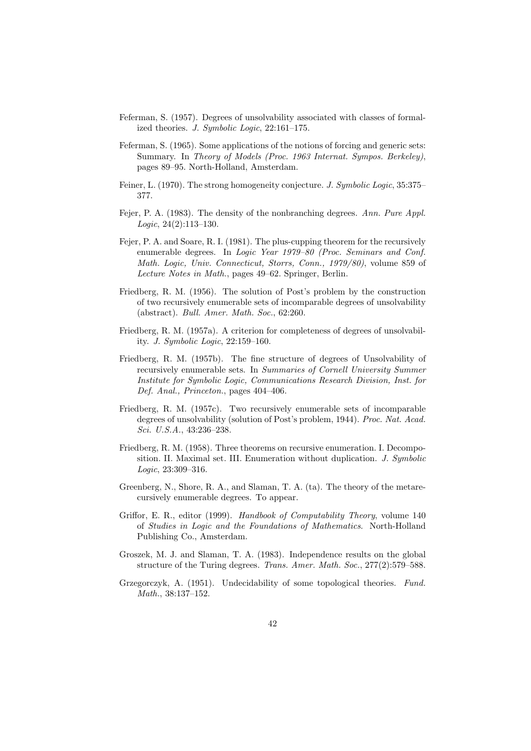- Feferman, S. (1957). Degrees of unsolvability associated with classes of formalized theories. J. Symbolic Logic, 22:161–175.
- Feferman, S. (1965). Some applications of the notions of forcing and generic sets: Summary. In Theory of Models (Proc. 1963 Internat. Sympos. Berkeley), pages 89–95. North-Holland, Amsterdam.
- Feiner, L. (1970). The strong homogeneity conjecture. J. Symbolic Logic, 35:375– 377.
- Fejer, P. A. (1983). The density of the nonbranching degrees. Ann. Pure Appl. Logic, 24(2):113–130.
- Fejer, P. A. and Soare, R. I. (1981). The plus-cupping theorem for the recursively enumerable degrees. In Logic Year 1979–80 (Proc. Seminars and Conf. Math. Logic, Univ. Connecticut, Storrs, Conn., 1979/80), volume 859 of Lecture Notes in Math., pages 49–62. Springer, Berlin.
- Friedberg, R. M. (1956). The solution of Post's problem by the construction of two recursively enumerable sets of incomparable degrees of unsolvability (abstract). Bull. Amer. Math. Soc., 62:260.
- Friedberg, R. M. (1957a). A criterion for completeness of degrees of unsolvability. J. Symbolic Logic, 22:159–160.
- Friedberg, R. M. (1957b). The fine structure of degrees of Unsolvability of recursively enumerable sets. In Summaries of Cornell University Summer Institute for Symbolic Logic, Communications Research Division, Inst. for Def. Anal., Princeton., pages 404–406.
- Friedberg, R. M. (1957c). Two recursively enumerable sets of incomparable degrees of unsolvability (solution of Post's problem, 1944). Proc. Nat. Acad. Sci. U.S.A., 43:236–238.
- Friedberg, R. M. (1958). Three theorems on recursive enumeration. I. Decomposition. II. Maximal set. III. Enumeration without duplication. J. Symbolic Logic, 23:309–316.
- Greenberg, N., Shore, R. A., and Slaman, T. A. (ta). The theory of the metarecursively enumerable degrees. To appear.
- Griffor, E. R., editor (1999). Handbook of Computability Theory, volume 140 of Studies in Logic and the Foundations of Mathematics. North-Holland Publishing Co., Amsterdam.
- Groszek, M. J. and Slaman, T. A. (1983). Independence results on the global structure of the Turing degrees. Trans. Amer. Math. Soc., 277(2):579–588.
- Grzegorczyk, A. (1951). Undecidability of some topological theories. Fund. Math., 38:137–152.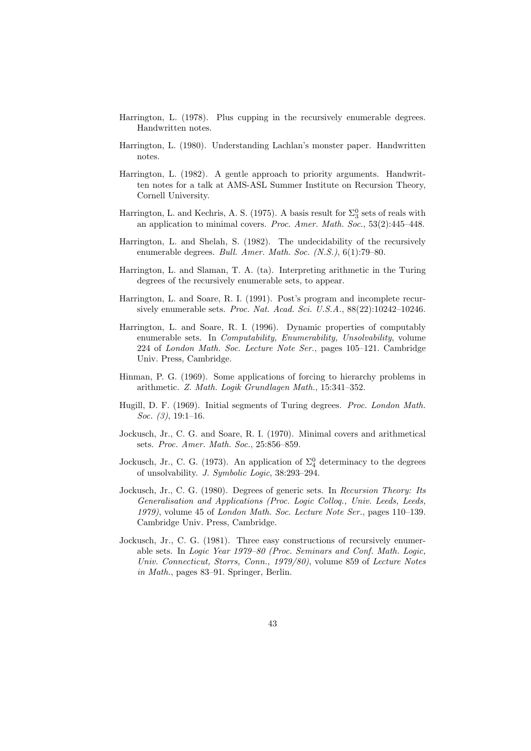- Harrington, L. (1978). Plus cupping in the recursively enumerable degrees. Handwritten notes.
- Harrington, L. (1980). Understanding Lachlan's monster paper. Handwritten notes.
- Harrington, L. (1982). A gentle approach to priority arguments. Handwritten notes for a talk at AMS-ASL Summer Institute on Recursion Theory, Cornell University.
- Harrington, L. and Kechris, A. S. (1975). A basis result for  $\Sigma_3^0$  sets of reals with an application to minimal covers. Proc. Amer. Math. Soc., 53(2):445–448.
- Harrington, L. and Shelah, S. (1982). The undecidability of the recursively enumerable degrees. Bull. Amer. Math. Soc. (N.S.), 6(1):79–80.
- Harrington, L. and Slaman, T. A. (ta). Interpreting arithmetic in the Turing degrees of the recursively enumerable sets, to appear.
- Harrington, L. and Soare, R. I. (1991). Post's program and incomplete recursively enumerable sets. Proc. Nat. Acad. Sci. U.S.A., 88(22):10242-10246.
- Harrington, L. and Soare, R. I. (1996). Dynamic properties of computably enumerable sets. In Computability, Enumerability, Unsolvability, volume 224 of London Math. Soc. Lecture Note Ser., pages 105–121. Cambridge Univ. Press, Cambridge.
- Hinman, P. G. (1969). Some applications of forcing to hierarchy problems in arithmetic. Z. Math. Logik Grundlagen Math., 15:341–352.
- Hugill, D. F. (1969). Initial segments of Turing degrees. Proc. London Math. Soc. (3), 19:1-16.
- Jockusch, Jr., C. G. and Soare, R. I. (1970). Minimal covers and arithmetical sets. Proc. Amer. Math. Soc., 25:856–859.
- Jockusch, Jr., C. G. (1973). An application of  $\Sigma_4^0$  determinacy to the degrees of unsolvability. J. Symbolic Logic, 38:293–294.
- Jockusch, Jr., C. G. (1980). Degrees of generic sets. In Recursion Theory: Its Generalisation and Applications (Proc. Logic Colloq., Univ. Leeds, Leeds, 1979), volume 45 of London Math. Soc. Lecture Note Ser., pages 110–139. Cambridge Univ. Press, Cambridge.
- Jockusch, Jr., C. G. (1981). Three easy constructions of recursively enumerable sets. In Logic Year 1979–80 (Proc. Seminars and Conf. Math. Logic, Univ. Connecticut, Storrs, Conn., 1979/80), volume 859 of Lecture Notes in Math., pages 83–91. Springer, Berlin.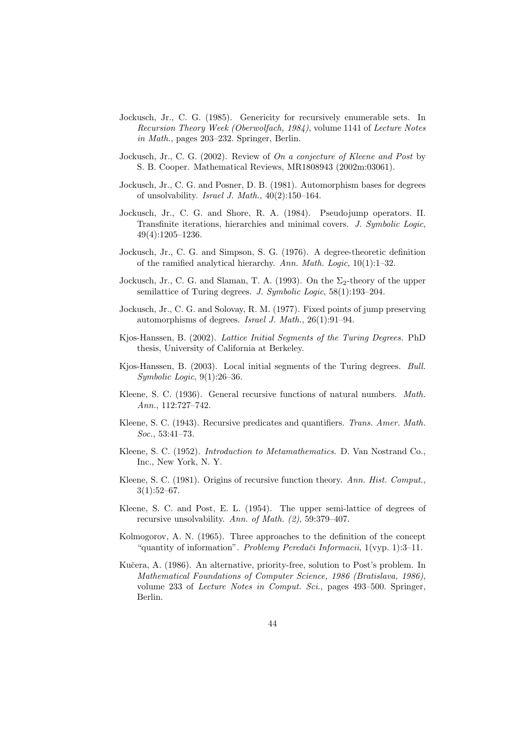- Jockusch, Jr., C. G. (1985). Genericity for recursively enumerable sets. In Recursion Theory Week (Oberwolfach, 1984), volume 1141 of Lecture Notes in Math., pages 203–232. Springer, Berlin.
- Jockusch, Jr., C. G. (2002). Review of On a conjecture of Kleene and Post by S. B. Cooper. Mathematical Reviews, MR1808943 (2002m:03061).
- Jockusch, Jr., C. G. and Posner, D. B. (1981). Automorphism bases for degrees of unsolvability. Israel J. Math., 40(2):150–164.
- Jockusch, Jr., C. G. and Shore, R. A. (1984). Pseudojump operators. II. Transfinite iterations, hierarchies and minimal covers. J. Symbolic Logic, 49(4):1205–1236.
- Jockusch, Jr., C. G. and Simpson, S. G. (1976). A degree-theoretic definition of the ramified analytical hierarchy. Ann. Math. Logic, 10(1):1–32.
- Jockusch, Jr., C. G. and Slaman, T. A. (1993). On the  $\Sigma_2$ -theory of the upper semilattice of Turing degrees. J. Symbolic Logic, 58(1):193-204.
- Jockusch, Jr., C. G. and Solovay, R. M. (1977). Fixed points of jump preserving automorphisms of degrees. Israel J. Math., 26(1):91–94.
- Kjos-Hanssen, B. (2002). Lattice Initial Segments of the Turing Degrees. PhD thesis, University of California at Berkeley.
- Kjos-Hanssen, B. (2003). Local initial segments of the Turing degrees. Bull. Symbolic Logic, 9(1):26–36.
- Kleene, S. C. (1936). General recursive functions of natural numbers. Math. Ann., 112:727–742.
- Kleene, S. C. (1943). Recursive predicates and quantifiers. Trans. Amer. Math. Soc., 53:41–73.
- Kleene, S. C. (1952). Introduction to Metamathematics. D. Van Nostrand Co., Inc., New York, N. Y.
- Kleene, S. C. (1981). Origins of recursive function theory. Ann. Hist. Comput.,  $3(1):52-67.$
- Kleene, S. C. and Post, E. L. (1954). The upper semi-lattice of degrees of recursive unsolvability. Ann. of Math. (2), 59:379–407.
- Kolmogorov, A. N. (1965). Three approaches to the definition of the concept "quantity of information". Problemy Peredači Informacii,  $1$ (vyp. 1):3–11.
- Kučera, A. (1986). An alternative, priority-free, solution to Post's problem. In Mathematical Foundations of Computer Science, 1986 (Bratislava, 1986), volume 233 of Lecture Notes in Comput. Sci., pages 493–500. Springer, Berlin.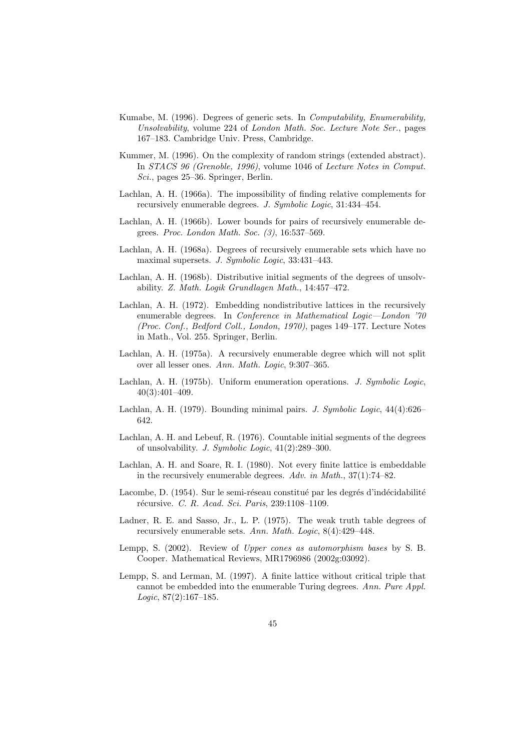- Kumabe, M. (1996). Degrees of generic sets. In Computability, Enumerability, Unsolvability, volume 224 of London Math. Soc. Lecture Note Ser., pages 167–183. Cambridge Univ. Press, Cambridge.
- Kummer, M. (1996). On the complexity of random strings (extended abstract). In STACS 96 (Grenoble, 1996), volume 1046 of Lecture Notes in Comput. Sci., pages 25–36. Springer, Berlin.
- Lachlan, A. H. (1966a). The impossibility of finding relative complements for recursively enumerable degrees. J. Symbolic Logic, 31:434–454.
- Lachlan, A. H. (1966b). Lower bounds for pairs of recursively enumerable degrees. Proc. London Math. Soc. (3), 16:537–569.
- Lachlan, A. H. (1968a). Degrees of recursively enumerable sets which have no maximal supersets. J. Symbolic Logic, 33:431–443.
- Lachlan, A. H. (1968b). Distributive initial segments of the degrees of unsolvability. Z. Math. Logik Grundlagen Math., 14:457–472.
- Lachlan, A. H. (1972). Embedding nondistributive lattices in the recursively enumerable degrees. In Conference in Mathematical Logic—London '70 (Proc. Conf., Bedford Coll., London, 1970), pages 149–177. Lecture Notes in Math., Vol. 255. Springer, Berlin.
- Lachlan, A. H. (1975a). A recursively enumerable degree which will not split over all lesser ones. Ann. Math. Logic, 9:307–365.
- Lachlan, A. H. (1975b). Uniform enumeration operations. J. Symbolic Logic, 40(3):401–409.
- Lachlan, A. H. (1979). Bounding minimal pairs. J. Symbolic Logic, 44(4):626– 642.
- Lachlan, A. H. and Lebeuf, R. (1976). Countable initial segments of the degrees of unsolvability. J. Symbolic Logic, 41(2):289–300.
- Lachlan, A. H. and Soare, R. I. (1980). Not every finite lattice is embeddable in the recursively enumerable degrees. Adv. in Math., 37(1):74–82.
- Lacombe, D. (1954). Sur le semi-réseau constitué par les degrés d'indécidabilité récursive. C. R. Acad. Sci. Paris, 239:1108-1109.
- Ladner, R. E. and Sasso, Jr., L. P. (1975). The weak truth table degrees of recursively enumerable sets. Ann. Math. Logic, 8(4):429–448.
- Lempp, S. (2002). Review of Upper cones as automorphism bases by S. B. Cooper. Mathematical Reviews, MR1796986 (2002g:03092).
- Lempp, S. and Lerman, M. (1997). A finite lattice without critical triple that cannot be embedded into the enumerable Turing degrees. Ann. Pure Appl.  $Logic, 87(2):167-185.$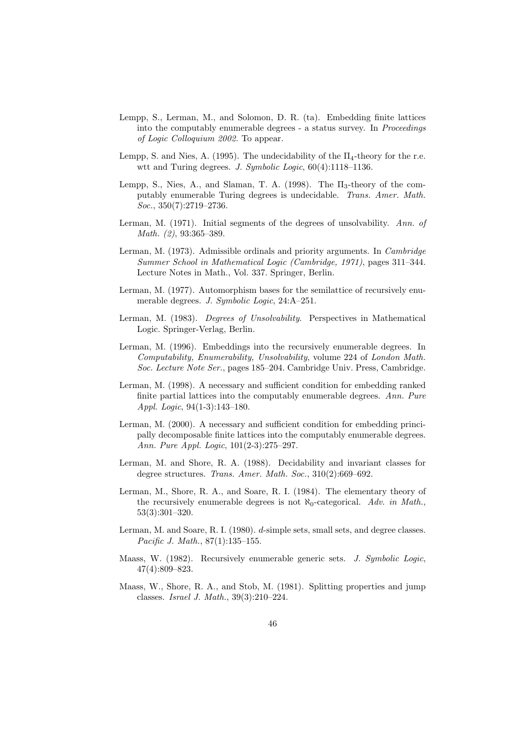- Lempp, S., Lerman, M., and Solomon, D. R. (ta). Embedding finite lattices into the computably enumerable degrees - a status survey. In Proceedings of Logic Colloquium 2002. To appear.
- Lempp, S. and Nies, A. (1995). The undecidability of the  $\Pi_4$ -theory for the r.e. wtt and Turing degrees. J. Symbolic Logic, 60(4):1118–1136.
- Lempp, S., Nies, A., and Slaman, T. A. (1998). The  $\Pi_3$ -theory of the computably enumerable Turing degrees is undecidable. Trans. Amer. Math. Soc., 350(7):2719-2736.
- Lerman, M. (1971). Initial segments of the degrees of unsolvability. Ann. of Math. (2), 93:365–389.
- Lerman, M. (1973). Admissible ordinals and priority arguments. In Cambridge Summer School in Mathematical Logic (Cambridge, 1971), pages 311–344. Lecture Notes in Math., Vol. 337. Springer, Berlin.
- Lerman, M. (1977). Automorphism bases for the semilattice of recursively enumerable degrees. J. Symbolic Logic, 24:A–251.
- Lerman, M. (1983). Degrees of Unsolvability. Perspectives in Mathematical Logic. Springer-Verlag, Berlin.
- Lerman, M. (1996). Embeddings into the recursively enumerable degrees. In Computability, Enumerability, Unsolvability, volume 224 of London Math. Soc. Lecture Note Ser., pages 185–204. Cambridge Univ. Press, Cambridge.
- Lerman, M. (1998). A necessary and sufficient condition for embedding ranked finite partial lattices into the computably enumerable degrees. Ann. Pure Appl. Logic, 94(1-3):143–180.
- Lerman, M. (2000). A necessary and sufficient condition for embedding principally decomposable finite lattices into the computably enumerable degrees. Ann. Pure Appl. Logic, 101(2-3):275–297.
- Lerman, M. and Shore, R. A. (1988). Decidability and invariant classes for degree structures. Trans. Amer. Math. Soc., 310(2):669–692.
- Lerman, M., Shore, R. A., and Soare, R. I. (1984). The elementary theory of the recursively enumerable degrees is not  $\aleph_0$ -categorical. Adv. in Math., 53(3):301–320.
- Lerman, M. and Soare, R. I. (1980). d-simple sets, small sets, and degree classes. Pacific J. Math., 87(1):135–155.
- Maass, W. (1982). Recursively enumerable generic sets. J. Symbolic Logic, 47(4):809–823.
- Maass, W., Shore, R. A., and Stob, M. (1981). Splitting properties and jump classes. Israel J. Math., 39(3):210–224.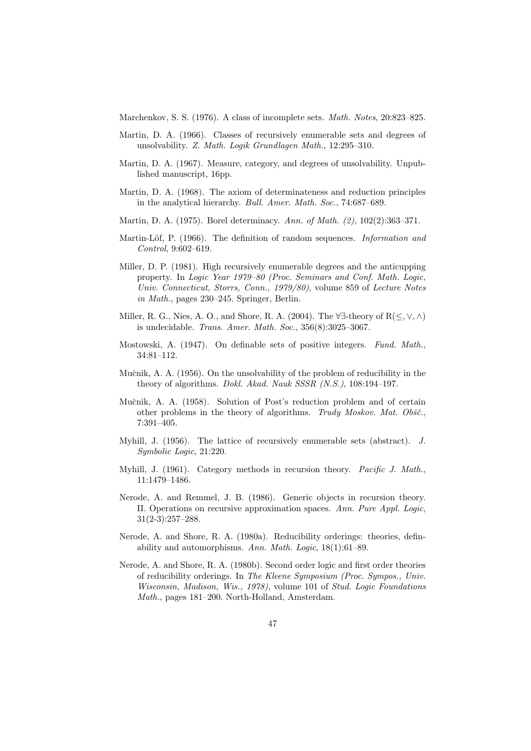Marchenkov, S. S. (1976). A class of incomplete sets. Math. Notes, 20:823–825.

- Martin, D. A. (1966). Classes of recursively enumerable sets and degrees of unsolvability. Z. Math. Logik Grundlagen Math., 12:295–310.
- Martin, D. A. (1967). Measure, category, and degrees of unsolvability. Unpublished manuscript, 16pp.
- Martin, D. A. (1968). The axiom of determinateness and reduction principles in the analytical hierarchy. Bull. Amer. Math. Soc., 74:687–689.
- Martin, D. A. (1975). Borel determinacy. Ann. of Math. (2), 102(2):363–371.
- Martin-Löf, P. (1966). The definition of random sequences. *Information and* Control, 9:602–619.
- Miller, D. P. (1981). High recursively enumerable degrees and the anticupping property. In Logic Year 1979–80 (Proc. Seminars and Conf. Math. Logic, Univ. Connecticut, Storrs, Conn., 1979/80), volume 859 of Lecture Notes in Math., pages 230–245. Springer, Berlin.
- Miller, R. G., Nies, A. O., and Shore, R. A. (2004). The ∀∃-theory of  $R(\leq, \vee, \wedge)$ is undecidable. Trans. Amer. Math. Soc., 356(8):3025–3067.
- Mostowski, A. (1947). On definable sets of positive integers. Fund. Math., 34:81–112.
- Mučnik, A. A. (1956). On the unsolvability of the problem of reducibility in the theory of algorithms. Dokl. Akad. Nauk SSSR (N.S.), 108:194–197.
- Mučnik, A. A. (1958). Solution of Post's reduction problem and of certain other problems in the theory of algorithms. Trudy Moskov. Mat.  $Ob\check{\epsilon}\check{c}$ ., 7:391–405.
- Myhill, J. (1956). The lattice of recursively enumerable sets (abstract). J. Symbolic Logic, 21:220.
- Myhill, J. (1961). Category methods in recursion theory. Pacific J. Math., 11:1479–1486.
- Nerode, A. and Remmel, J. B. (1986). Generic objects in recursion theory. II. Operations on recursive approximation spaces. Ann. Pure Appl. Logic, 31(2-3):257–288.
- Nerode, A. and Shore, R. A. (1980a). Reducibility orderings: theories, definability and automorphisms. Ann. Math. Logic, 18(1):61–89.
- Nerode, A. and Shore, R. A. (1980b). Second order logic and first order theories of reducibility orderings. In The Kleene Symposium (Proc. Sympos., Univ. Wisconsin, Madison, Wis., 1978), volume 101 of Stud. Logic Foundations Math., pages 181–200. North-Holland, Amsterdam.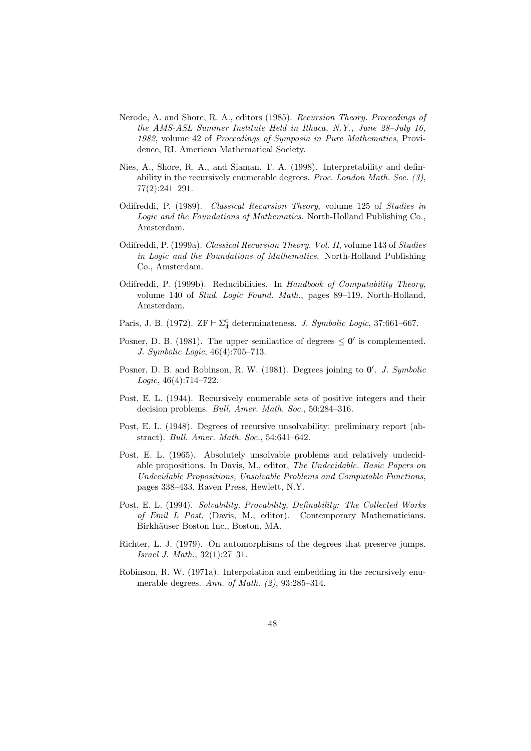- Nerode, A. and Shore, R. A., editors (1985). Recursion Theory. Proceedings of the AMS-ASL Summer Institute Held in Ithaca, N.Y., June 28–July 16, 1982, volume 42 of Proceedings of Symposia in Pure Mathematics, Providence, RI. American Mathematical Society.
- Nies, A., Shore, R. A., and Slaman, T. A. (1998). Interpretability and definability in the recursively enumerable degrees. Proc. London Math. Soc. (3), 77(2):241–291.
- Odifreddi, P. (1989). Classical Recursion Theory, volume 125 of Studies in Logic and the Foundations of Mathematics. North-Holland Publishing Co., Amsterdam.
- Odifreddi, P. (1999a). Classical Recursion Theory. Vol. II, volume 143 of Studies in Logic and the Foundations of Mathematics. North-Holland Publishing Co., Amsterdam.
- Odifreddi, P. (1999b). Reducibilities. In Handbook of Computability Theory, volume 140 of Stud. Logic Found. Math., pages 89–119. North-Holland, Amsterdam.
- Paris, J. B. (1972).  $ZF \vdash \Sigma^0_4$  determinateness. *J. Symbolic Logic*, 37:661–667.
- Posner, D. B. (1981). The upper semilattice of degrees  $\leq 0'$  is complemented. J. Symbolic Logic, 46(4):705–713.
- Posner, D. B. and Robinson, R. W. (1981). Degrees joining to  $0'$ . J. Symbolic Logic, 46(4):714–722.
- Post, E. L. (1944). Recursively enumerable sets of positive integers and their decision problems. Bull. Amer. Math. Soc., 50:284–316.
- Post, E. L. (1948). Degrees of recursive unsolvability: preliminary report (abstract). Bull. Amer. Math. Soc., 54:641–642.
- Post, E. L. (1965). Absolutely unsolvable problems and relatively undecidable propositions. In Davis, M., editor, The Undecidable. Basic Papers on Undecidable Propositions, Unsolvable Problems and Computable Functions, pages 338–433. Raven Press, Hewlett, N.Y.
- Post, E. L. (1994). Solvability, Provability, Definability: The Collected Works of Emil L Post. (Davis, M., editor). Contemporary Mathematicians. Birkhäuser Boston Inc., Boston, MA.
- Richter, L. J. (1979). On automorphisms of the degrees that preserve jumps. Israel J. Math., 32(1):27–31.
- Robinson, R. W. (1971a). Interpolation and embedding in the recursively enumerable degrees. Ann. of Math. (2), 93:285–314.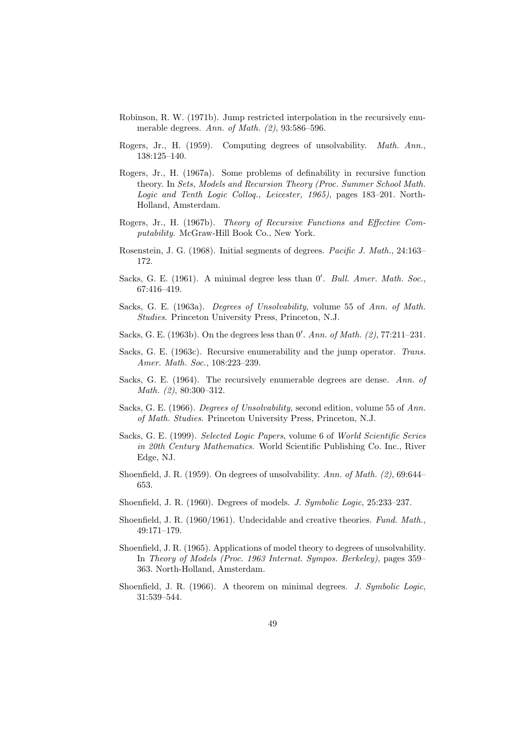- Robinson, R. W. (1971b). Jump restricted interpolation in the recursively enumerable degrees. Ann. of Math. (2), 93:586–596.
- Rogers, Jr., H. (1959). Computing degrees of unsolvability. Math. Ann., 138:125–140.
- Rogers, Jr., H. (1967a). Some problems of definability in recursive function theory. In Sets, Models and Recursion Theory (Proc. Summer School Math. Logic and Tenth Logic Colloq., Leicester, 1965), pages 183–201. North-Holland, Amsterdam.
- Rogers, Jr., H. (1967b). Theory of Recursive Functions and Effective Computability. McGraw-Hill Book Co., New York.
- Rosenstein, J. G. (1968). Initial segments of degrees. Pacific J. Math., 24:163– 172.
- Sacks, G. E. (1961). A minimal degree less than  $0'$ . Bull. Amer. Math. Soc., 67:416–419.
- Sacks, G. E. (1963a). Degrees of Unsolvability, volume 55 of Ann. of Math. Studies. Princeton University Press, Princeton, N.J.
- Sacks, G. E. (1963b). On the degrees less than  $0'$ . Ann. of Math. (2), 77:211-231.
- Sacks, G. E. (1963c). Recursive enumerability and the jump operator. Trans. Amer. Math. Soc., 108:223–239.
- Sacks, G. E. (1964). The recursively enumerable degrees are dense. Ann. of Math. (2), 80:300–312.
- Sacks, G. E. (1966). Degrees of Unsolvability, second edition, volume 55 of Ann. of Math. Studies. Princeton University Press, Princeton, N.J.
- Sacks, G. E. (1999). Selected Logic Papers, volume 6 of World Scientific Series in 20th Century Mathematics. World Scientific Publishing Co. Inc., River Edge, NJ.
- Shoenfield, J. R. (1959). On degrees of unsolvability. Ann. of Math. (2), 69:644– 653.
- Shoenfield, J. R. (1960). Degrees of models. J. Symbolic Logic, 25:233–237.
- Shoenfield, J. R. (1960/1961). Undecidable and creative theories. Fund. Math., 49:171–179.
- Shoenfield, J. R. (1965). Applications of model theory to degrees of unsolvability. In Theory of Models (Proc. 1963 Internat. Sympos. Berkeley), pages 359– 363. North-Holland, Amsterdam.
- Shoenfield, J. R. (1966). A theorem on minimal degrees. J. Symbolic Logic, 31:539–544.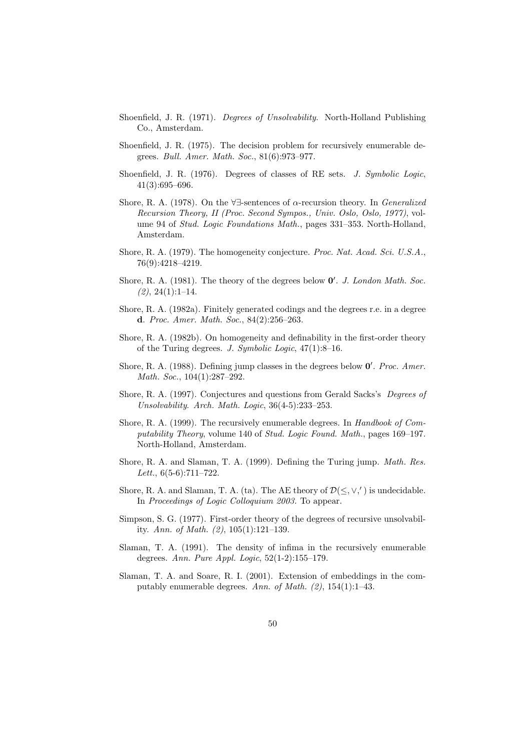- Shoenfield, J. R. (1971). Degrees of Unsolvability. North-Holland Publishing Co., Amsterdam.
- Shoenfield, J. R. (1975). The decision problem for recursively enumerable degrees. Bull. Amer. Math. Soc., 81(6):973–977.
- Shoenfield, J. R. (1976). Degrees of classes of RE sets. J. Symbolic Logic, 41(3):695–696.
- Shore, R. A. (1978). On the ∀∃-sentences of  $\alpha$ -recursion theory. In *Generalized* Recursion Theory, II (Proc. Second Sympos., Univ. Oslo, Oslo, 1977), volume 94 of Stud. Logic Foundations Math., pages 331–353. North-Holland, Amsterdam.
- Shore, R. A. (1979). The homogeneity conjecture. Proc. Nat. Acad. Sci. U.S.A., 76(9):4218–4219.
- Shore, R. A. (1981). The theory of the degrees below  $0'$ . J. London Math. Soc.  $(2), 24(1):1-14.$
- Shore, R. A. (1982a). Finitely generated codings and the degrees r.e. in a degree d. Proc. Amer. Math. Soc., 84(2):256–263.
- Shore, R. A. (1982b). On homogeneity and definability in the first-order theory of the Turing degrees. J. Symbolic Logic, 47(1):8–16.
- Shore, R. A. (1988). Defining jump classes in the degrees below  $0'$ . Proc. Amer. Math. Soc., 104(1):287–292.
- Shore, R. A. (1997). Conjectures and questions from Gerald Sacks's Degrees of Unsolvability. Arch. Math. Logic, 36(4-5):233–253.
- Shore, R. A. (1999). The recursively enumerable degrees. In Handbook of Computability Theory, volume 140 of Stud. Logic Found. Math., pages 169–197. North-Holland, Amsterdam.
- Shore, R. A. and Slaman, T. A. (1999). Defining the Turing jump. Math. Res. Lett., 6(5-6):711–722.
- Shore, R. A. and Slaman, T. A. (ta). The AE theory of  $\mathcal{D}(\leq,\vee,')$  is undecidable. In Proceedings of Logic Colloquium 2003. To appear.
- Simpson, S. G. (1977). First-order theory of the degrees of recursive unsolvability. Ann. of Math. (2), 105(1):121–139.
- Slaman, T. A. (1991). The density of infima in the recursively enumerable degrees. Ann. Pure Appl. Logic, 52(1-2):155–179.
- Slaman, T. A. and Soare, R. I. (2001). Extension of embeddings in the computably enumerable degrees. Ann. of Math. (2), 154(1):1–43.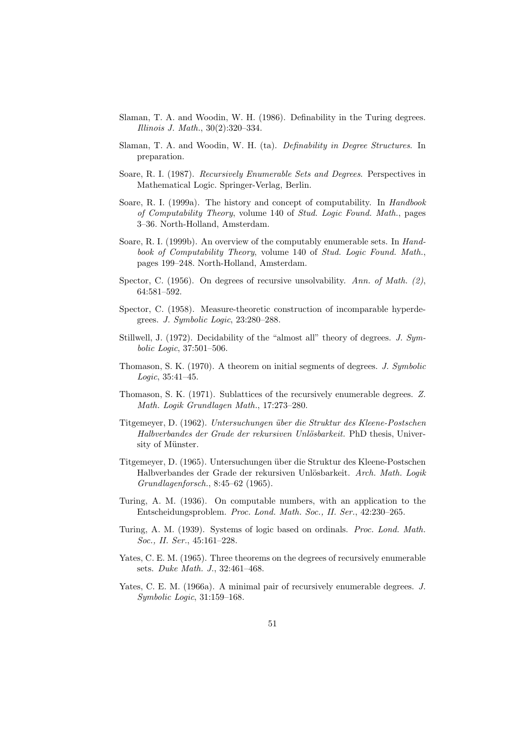- Slaman, T. A. and Woodin, W. H. (1986). Definability in the Turing degrees. Illinois J. Math., 30(2):320–334.
- Slaman, T. A. and Woodin, W. H. (ta). Definability in Degree Structures. In preparation.
- Soare, R. I. (1987). Recursively Enumerable Sets and Degrees. Perspectives in Mathematical Logic. Springer-Verlag, Berlin.
- Soare, R. I. (1999a). The history and concept of computability. In Handbook of Computability Theory, volume 140 of Stud. Logic Found. Math., pages 3–36. North-Holland, Amsterdam.
- Soare, R. I. (1999b). An overview of the computably enumerable sets. In Handbook of Computability Theory, volume 140 of Stud. Logic Found. Math., pages 199–248. North-Holland, Amsterdam.
- Spector, C. (1956). On degrees of recursive unsolvability. Ann. of Math. (2), 64:581–592.
- Spector, C. (1958). Measure-theoretic construction of incomparable hyperdegrees. J. Symbolic Logic, 23:280–288.
- Stillwell, J. (1972). Decidability of the "almost all" theory of degrees. J. Symbolic Logic, 37:501–506.
- Thomason, S. K. (1970). A theorem on initial segments of degrees. J. Symbolic Logic, 35:41–45.
- Thomason, S. K. (1971). Sublattices of the recursively enumerable degrees. Z. Math. Logik Grundlagen Math., 17:273–280.
- Titgemeyer, D. (1962). Untersuchungen über die Struktur des Kleene-Postschen Halbverbandes der Grade der rekursiven Unlösbarkeit. PhD thesis, University of Münster.
- Titgemeyer, D. (1965). Untersuchungen über die Struktur des Kleene-Postschen Halbverbandes der Grade der rekursiven Unlösbarkeit. Arch. Math. Logik Grundlagenforsch., 8:45–62 (1965).
- Turing, A. M. (1936). On computable numbers, with an application to the Entscheidungsproblem. Proc. Lond. Math. Soc., II. Ser., 42:230–265.
- Turing, A. M. (1939). Systems of logic based on ordinals. Proc. Lond. Math. Soc., II. Ser., 45:161–228.
- Yates, C. E. M. (1965). Three theorems on the degrees of recursively enumerable sets. Duke Math. J., 32:461–468.
- Yates, C. E. M. (1966a). A minimal pair of recursively enumerable degrees. J. Symbolic Logic, 31:159–168.